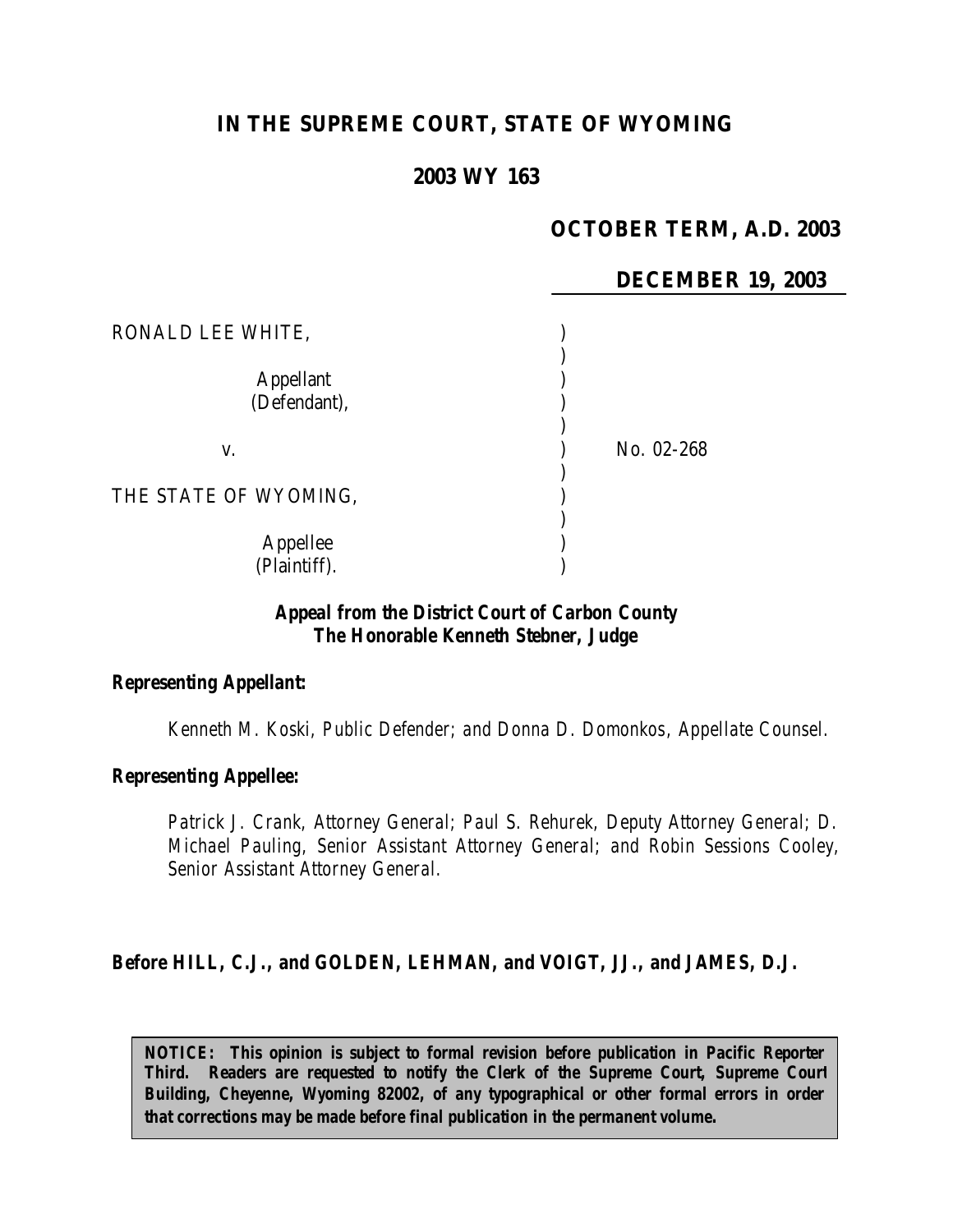# **IN THE SUPREME COURT, STATE OF WYOMING**

## **2003 WY 163**

## **OCTOBER TERM, A.D. 2003**

|                                  | <b>DECEMBER 19, 2003</b> |
|----------------------------------|--------------------------|
| RONALD LEE WHITE,                |                          |
| <b>Appellant</b><br>(Defendant), |                          |
| V.                               | No. 02-268               |
| THE STATE OF WYOMING,            |                          |
| Appellee<br>(Plaintiff).         |                          |

### *Appeal from the District Court of Carbon County The Honorable Kenneth Stebner, Judge*

#### *Representing Appellant:*

*Kenneth M. Koski, Public Defender; and Donna D. Domonkos, Appellate Counsel.*

#### *Representing Appellee:*

*Patrick J. Crank, Attorney General; Paul S. Rehurek, Deputy Attorney General; D. Michael Pauling, Senior Assistant Attorney General; and Robin Sessions Cooley, Senior Assistant Attorney General.*

#### *Before HILL, C.J., and GOLDEN, LEHMAN, and VOIGT, JJ., and JAMES, D.J.*

*NOTICE: This opinion is subject to formal revision before publication in Pacific Reporter Third. Readers are requested to notify the Clerk of the Supreme Court, Supreme Court Building, Cheyenne, Wyoming 82002, of any typographical or other formal errors in order that corrections may be made before final publication in the permanent volume.*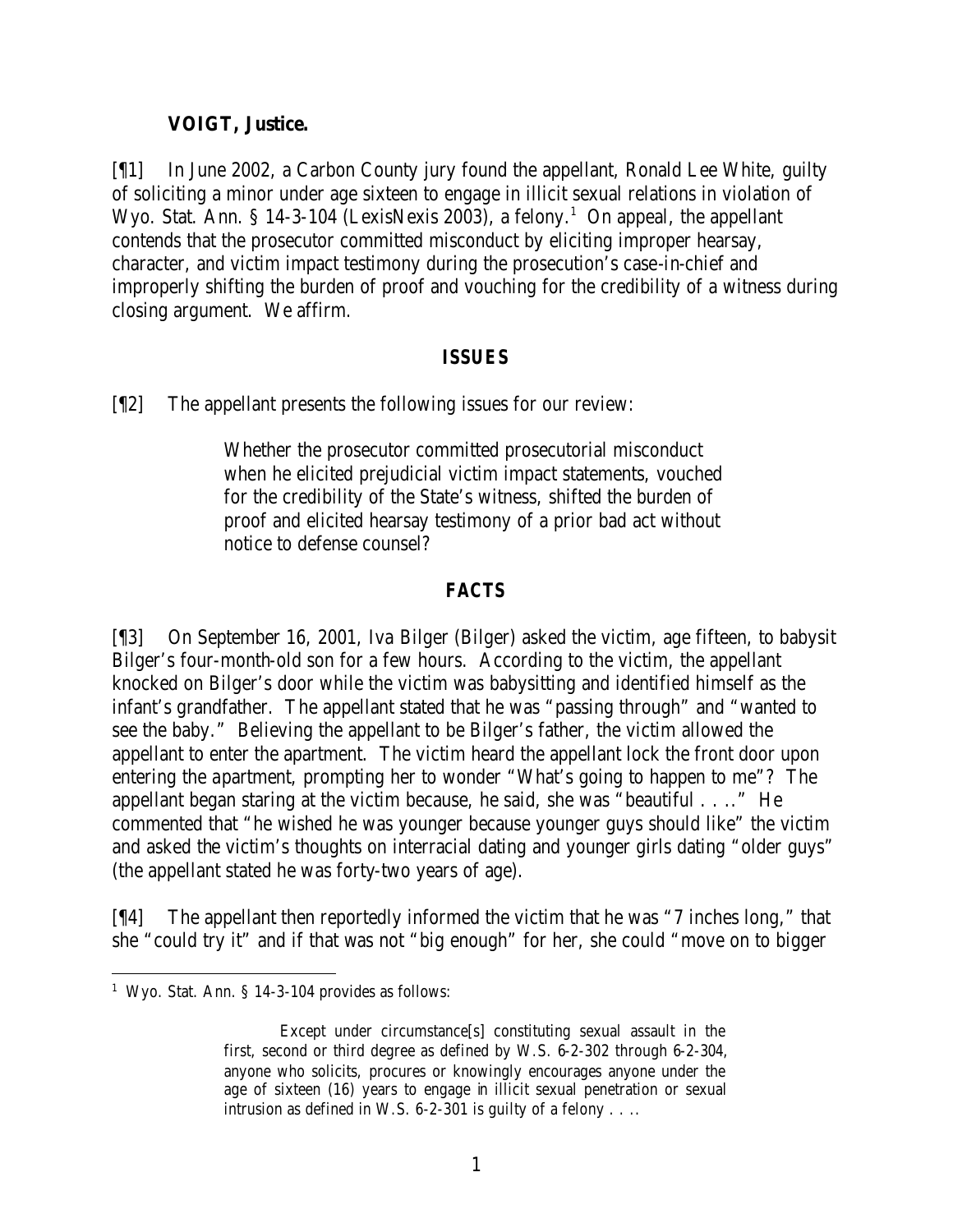### **VOIGT, Justice.**

[¶1] In June 2002, a Carbon County jury found the appellant, Ronald Lee White, guilty of soliciting a minor under age sixteen to engage in illicit sexual relations in violation of Wyo. Stat. Ann. § 14-3-104 (LexisNexis 2003), a felony.<sup>1</sup> On appeal, the appellant contends that the prosecutor committed misconduct by eliciting improper hearsay, character, and victim impact testimony during the prosecution's case-in-chief and improperly shifting the burden of proof and vouching for the credibility of a witness during closing argument. We affirm.

#### *ISSUES*

[¶2] The appellant presents the following issues for our review:

Whether the prosecutor committed prosecutorial misconduct when he elicited prejudicial victim impact statements, vouched for the credibility of the State's witness, shifted the burden of proof and elicited hearsay testimony of a prior bad act without notice to defense counsel?

## *FACTS*

[¶3] On September 16, 2001, Iva Bilger (Bilger) asked the victim, age fifteen, to babysit Bilger's four-month-old son for a few hours. According to the victim, the appellant knocked on Bilger's door while the victim was babysitting and identified himself as the infant's grandfather. The appellant stated that he was "passing through" and "wanted to see the baby." Believing the appellant to be Bilger's father, the victim allowed the appellant to enter the apartment. The victim heard the appellant lock the front door upon entering the apartment, prompting her to wonder "What's going to happen to me"? The appellant began staring at the victim because, he said, she was "beautiful . . .." He commented that "he wished he was younger because younger guys should like" the victim and asked the victim's thoughts on interracial dating and younger girls dating "older guys" (the appellant stated he was forty-two years of age).

[¶4] The appellant then reportedly informed the victim that he was "7 inches long," that she "could try it" and if that was not "big enough" for her, she could "move on to bigger

<sup>&</sup>lt;sup>1</sup> Wyo. Stat. Ann. § 14-3-104 provides as follows:

Except under circumstance[s] constituting sexual assault in the first, second or third degree as defined by W.S. 6-2-302 through 6-2-304, anyone who solicits, procures or knowingly encourages anyone under the age of sixteen (16) years to engage in illicit sexual penetration or sexual intrusion as defined in W.S. 6-2-301 is guilty of a felony . . ..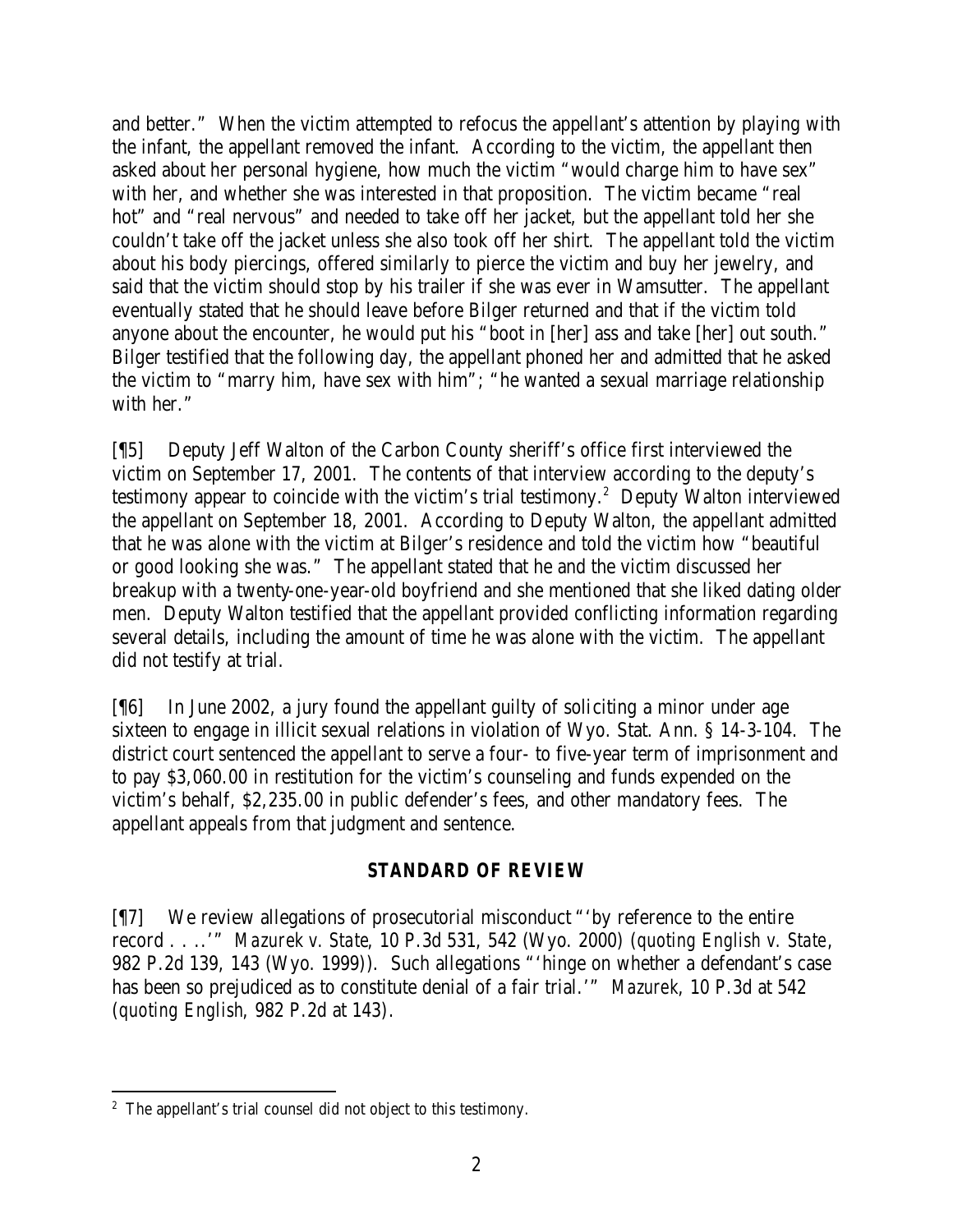and better." When the victim attempted to refocus the appellant's attention by playing with the infant, the appellant removed the infant. According to the victim, the appellant then asked about her personal hygiene, how much the victim "would charge him to have sex" with her, and whether she was interested in that proposition. The victim became "real hot" and "real nervous" and needed to take off her jacket, but the appellant told her she couldn't take off the jacket unless she also took off her shirt. The appellant told the victim about his body piercings, offered similarly to pierce the victim and buy her jewelry, and said that the victim should stop by his trailer if she was ever in Wamsutter. The appellant eventually stated that he should leave before Bilger returned and that if the victim told anyone about the encounter, he would put his "boot in [her] ass and take [her] out south." Bilger testified that the following day, the appellant phoned her and admitted that he asked the victim to "marry him, have sex with him"; "he wanted a sexual marriage relationship with her."

[¶5] Deputy Jeff Walton of the Carbon County sheriff's office first interviewed the victim on September 17, 2001. The contents of that interview according to the deputy's testimony appear to coincide with the victim's trial testimony.<sup>2</sup> Deputy Walton interviewed the appellant on September 18, 2001. According to Deputy Walton, the appellant admitted that he was alone with the victim at Bilger's residence and told the victim how "beautiful or good looking she was." The appellant stated that he and the victim discussed her breakup with a twenty-one-year-old boyfriend and she mentioned that she liked dating older men. Deputy Walton testified that the appellant provided conflicting information regarding several details, including the amount of time he was alone with the victim. The appellant did not testify at trial.

[¶6] In June 2002, a jury found the appellant guilty of soliciting a minor under age sixteen to engage in illicit sexual relations in violation of Wyo. Stat. Ann. § 14-3-104. The district court sentenced the appellant to serve a four- to five-year term of imprisonment and to pay \$3,060.00 in restitution for the victim's counseling and funds expended on the victim's behalf, \$2,235.00 in public defender's fees, and other mandatory fees. The appellant appeals from that judgment and sentence.

# *STANDARD OF REVIEW*

[¶7] We review allegations of prosecutorial misconduct "'by reference to the entire record . . ..'" *Mazurek v. State*, 10 P.3d 531, 542 (Wyo. 2000) (*quoting English v. State*, 982 P.2d 139, 143 (Wyo. 1999)). Such allegations "'hinge on whether a defendant's case has been so prejudiced as to constitute denial of a fair trial.'" *Mazurek*, 10 P.3d at 542 (*quoting English*, 982 P.2d at 143).

<sup>&</sup>lt;sup>2</sup> The appellant's trial counsel did not object to this testimony.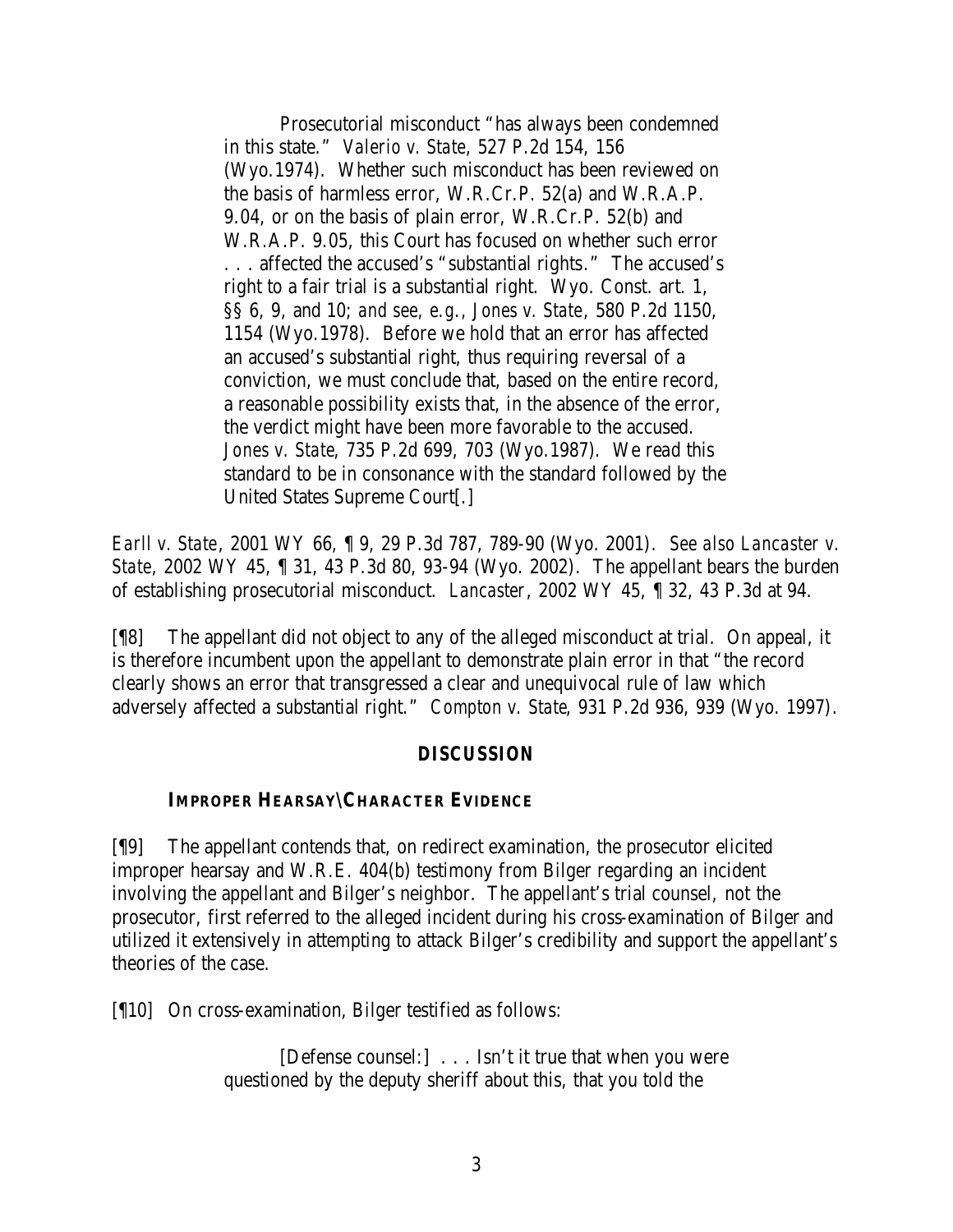Prosecutorial misconduct "has always been condemned in this state." *Valerio v. State*, 527 P.2d 154, 156 (Wyo.1974). Whether such misconduct has been reviewed on the basis of harmless error, W.R.Cr.P. 52(a) and W.R.A.P. 9.04, or on the basis of plain error, W.R.Cr.P. 52(b) and W.R.A.P. 9.05, this Court has focused on whether such error . . . affected the accused's "substantial rights." The accused's right to a fair trial is a substantial right. Wyo. Const. art. 1, §§ 6, 9, and 10; *and see, e.g., Jones v. State*, 580 P.2d 1150, 1154 (Wyo.1978). Before we hold that an error has affected an accused's substantial right, thus requiring reversal of a conviction, we must conclude that, based on the entire record, a reasonable possibility exists that, in the absence of the error, the verdict might have been more favorable to the accused. *Jones v. State*, 735 P.2d 699, 703 (Wyo.1987). We read this standard to be in consonance with the standard followed by the United States Supreme Court[.]

*Earll v. State*, 2001 WY 66, ¶ 9, 29 P.3d 787, 789-90 (Wyo. 2001). *See also Lancaster v. State*, 2002 WY 45, ¶ 31, 43 P.3d 80, 93-94 (Wyo. 2002). The appellant bears the burden of establishing prosecutorial misconduct. *Lancaster*, 2002 WY 45, ¶ 32, 43 P.3d at 94.

[¶8] The appellant did not object to any of the alleged misconduct at trial. On appeal, it is therefore incumbent upon the appellant to demonstrate plain error in that "the record clearly shows an error that transgressed a clear and unequivocal rule of law which adversely affected a substantial right." *Compton v. State*, 931 P.2d 936, 939 (Wyo. 1997).

### *DISCUSSION*

### **IMPROPER HEARSAY\CHARACTER EVIDENCE**

[¶9] The appellant contends that, on redirect examination, the prosecutor elicited improper hearsay and W.R.E. 404(b) testimony from Bilger regarding an incident involving the appellant and Bilger's neighbor. The appellant's trial counsel, not the prosecutor, first referred to the alleged incident during his cross-examination of Bilger and utilized it extensively in attempting to attack Bilger's credibility and support the appellant's theories of the case.

[¶10] On cross-examination, Bilger testified as follows:

[Defense counsel:] . . . Isn't it true that when you were questioned by the deputy sheriff about this, that you told the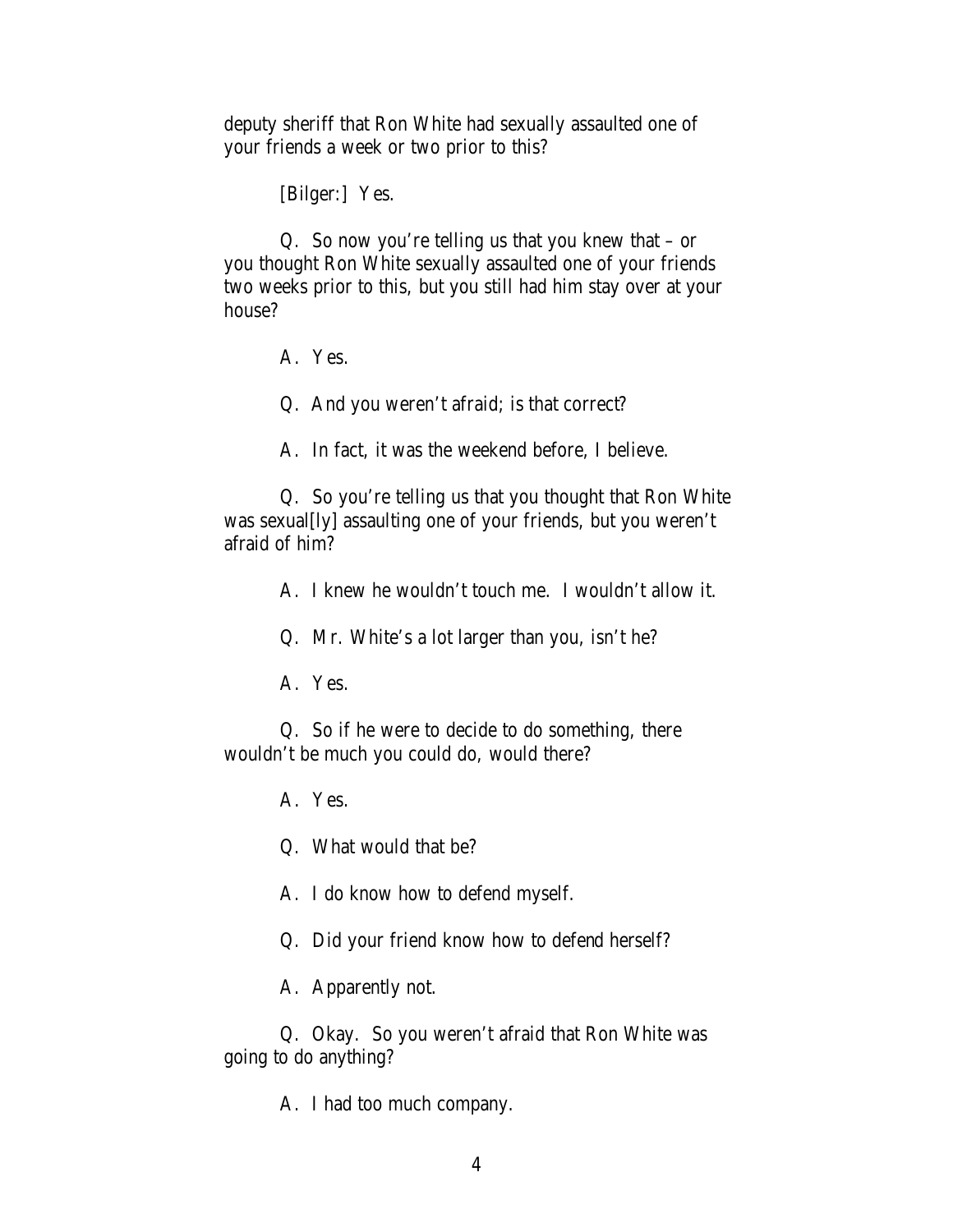deputy sheriff that Ron White had sexually assaulted one of your friends a week or two prior to this?

[Bilger:] Yes.

Q. So now you're telling us that you knew that – or you thought Ron White sexually assaulted one of your friends two weeks prior to this, but you still had him stay over at your house?

A. Yes.

Q. And you weren't afraid; is that correct?

A. In fact, it was the weekend before, I believe.

Q. So you're telling us that you thought that Ron White was sexual[ly] assaulting one of your friends, but you weren't afraid of him?

A. I knew he wouldn't touch me. I wouldn't allow it.

Q. Mr. White's a lot larger than you, isn't he?

A. Yes.

Q. So if he were to decide to do something, there wouldn't be much you could do, would there?

A. Yes.

Q. What would that be?

A. I do know how to defend myself.

Q. Did your friend know how to defend herself?

A. Apparently not.

Q. Okay. So you weren't afraid that Ron White was going to do anything?

A. I had too much company.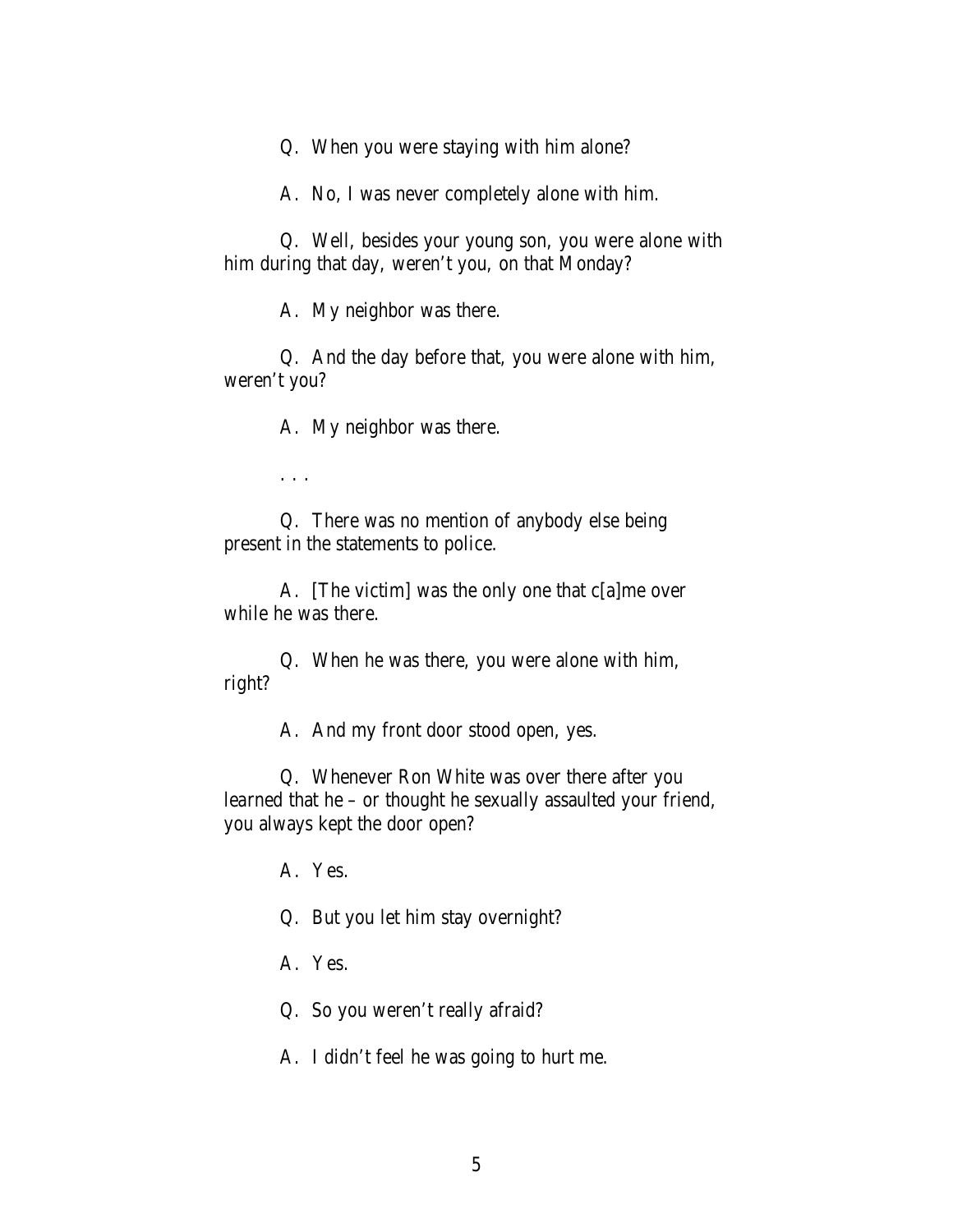Q. When you were staying with him alone?

A. No, I was never completely alone with him.

Q. Well, besides your young son, you were alone with him during that day, weren't you, on that Monday?

A. My neighbor was there.

Q. And the day before that, you were alone with him, weren't you?

A. My neighbor was there.

. . .

Q. There was no mention of anybody else being present in the statements to police.

A. [The victim] was the only one that c[a]me over while he was there.

Q. When he was there, you were alone with him, right?

A. And my front door stood open, yes.

Q. Whenever Ron White was over there after you learned that he – or thought he sexually assaulted your friend, you always kept the door open?

A. Yes.

Q. But you let him stay overnight?

A. Yes.

Q. So you weren't really afraid?

A. I didn't feel he was going to hurt me.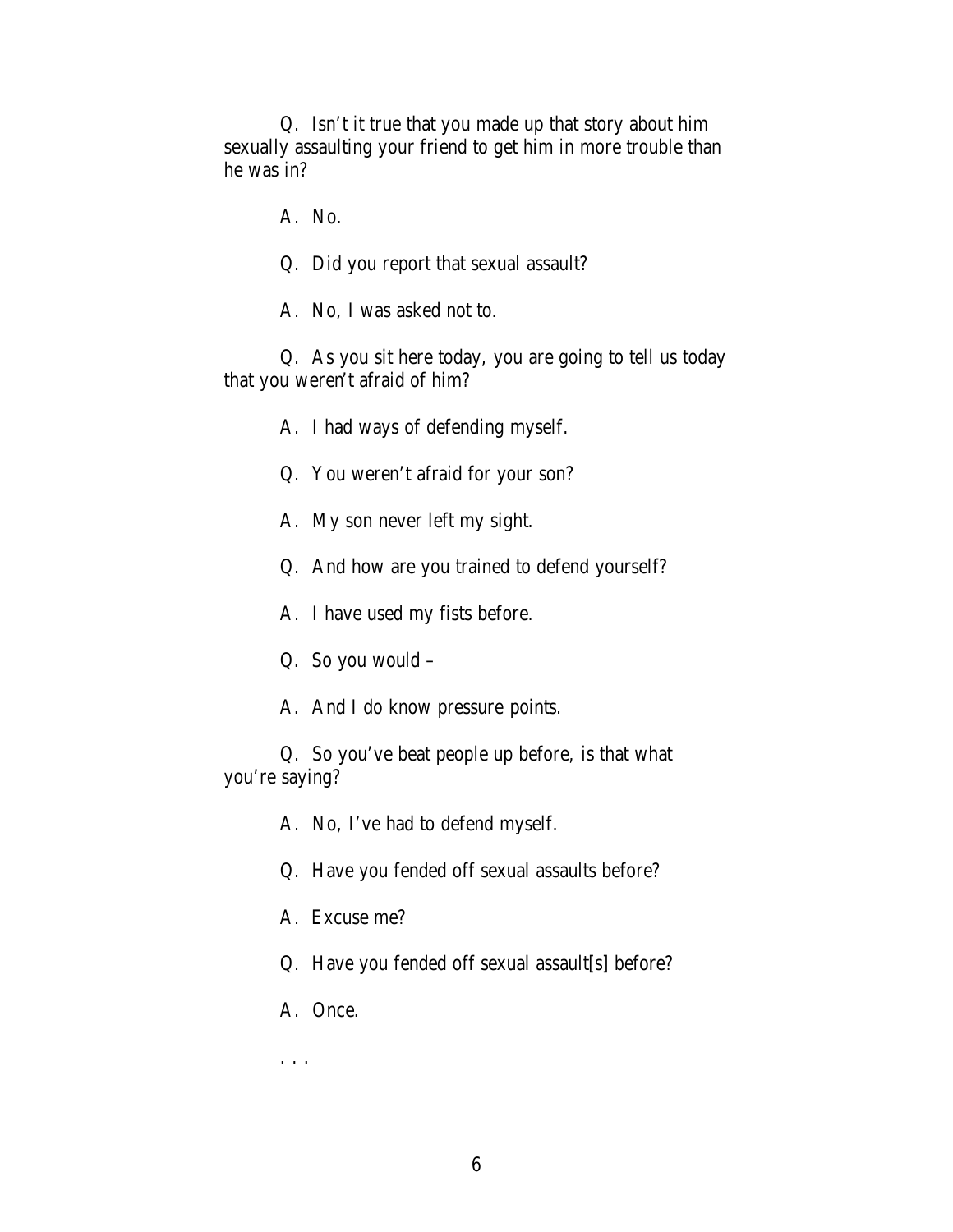Q. Isn't it true that you made up that story about him sexually assaulting your friend to get him in more trouble than he was in?

A. No.

Q. Did you report that sexual assault?

A. No, I was asked not to.

Q. As you sit here today, you are going to tell us today that you weren't afraid of him?

A. I had ways of defending myself.

Q. You weren't afraid for your son?

A. My son never left my sight.

Q. And how are you trained to defend yourself?

A. I have used my fists before.

Q. So you would –

A. And I do know pressure points.

Q. So you've beat people up before, is that what you're saying?

A. No, I've had to defend myself.

Q. Have you fended off sexual assaults before?

A. Excuse me?

Q. Have you fended off sexual assault[s] before?

A. Once.

. . .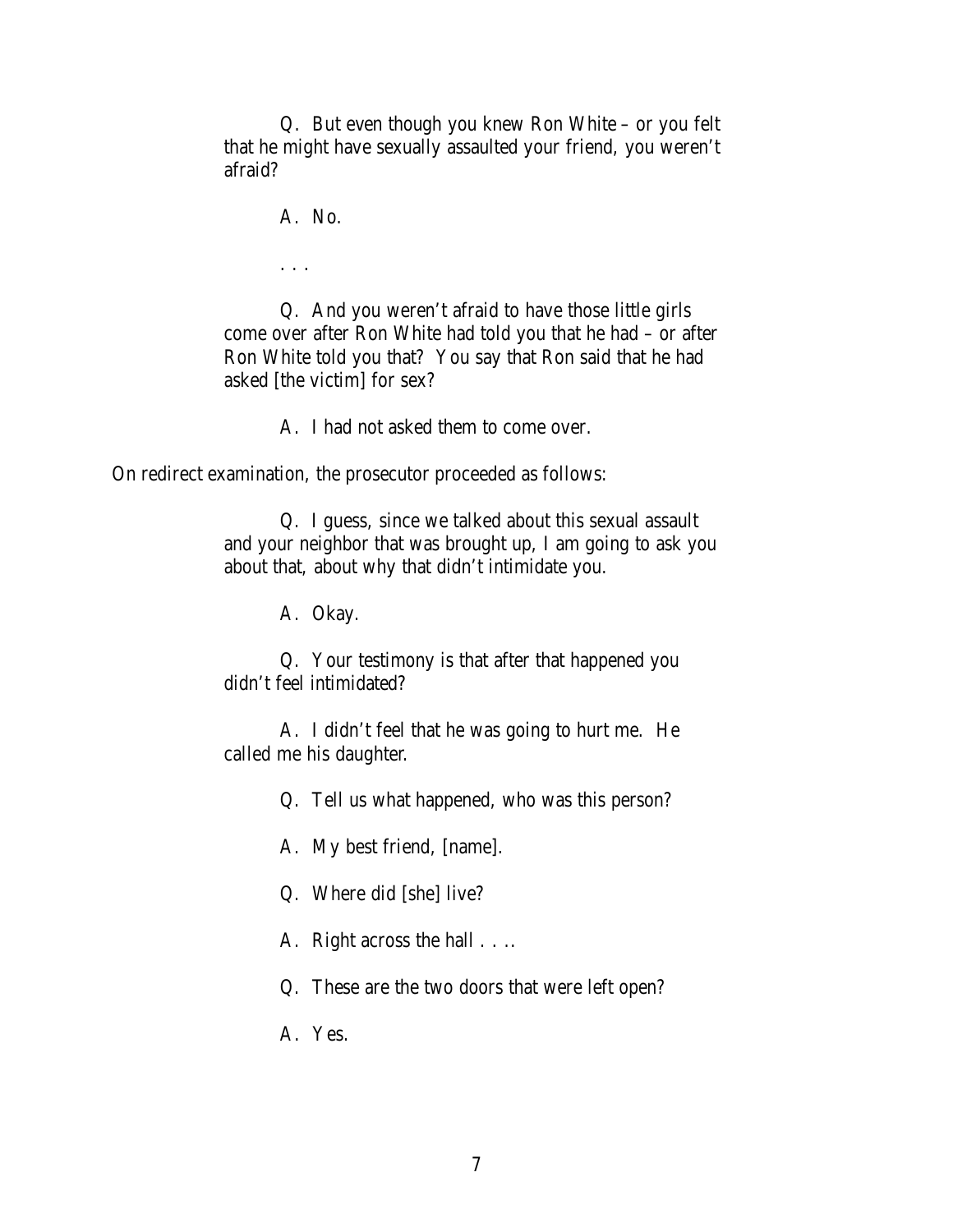Q. But even though you knew Ron White – or you felt that he might have sexually assaulted your friend, you weren't afraid?

A. No.

. . .

Q. And you weren't afraid to have those little girls come over after Ron White had told you that he had – or after Ron White told you that? You say that Ron said that he had asked [the victim] for sex?

A. I had not asked them to come over.

On redirect examination, the prosecutor proceeded as follows:

Q. I guess, since we talked about this sexual assault and your neighbor that was brought up, I am going to ask you about that, about why that didn't intimidate you.

A. Okay.

Q. Your testimony is that after that happened you didn't feel intimidated?

A. I didn't feel that he was going to hurt me. He called me his daughter.

Q. Tell us what happened, who was this person?

A. My best friend, [name].

Q. Where did [she] live?

A. Right across the hall . . ..

Q. These are the two doors that were left open?

A. Yes.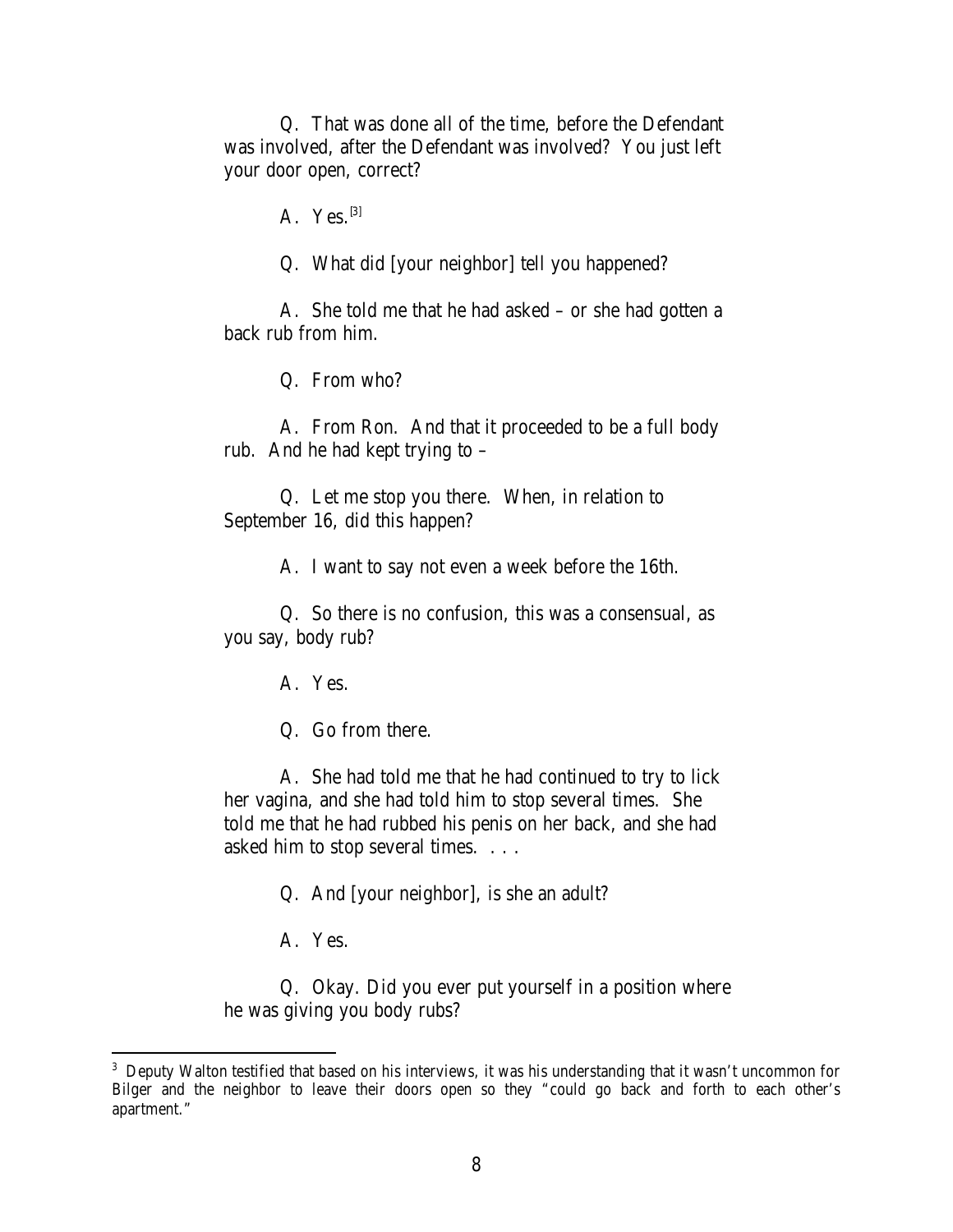Q. That was done all of the time, before the Defendant was involved, after the Defendant was involved? You just left your door open, correct?

A. Yes. $^{[3]}$ 

Q. What did [your neighbor] tell you happened?

A. She told me that he had asked – or she had gotten a back rub from him.

Q. From who?

A. From Ron. And that it proceeded to be a full body rub. And he had kept trying to –

Q. Let me stop you there. When, in relation to September 16, did this happen?

A. I want to say not even a week before the 16th.

Q. So there is no confusion, this was a consensual, as you say, body rub?

A. Yes.

Q. Go from there.

A. She had told me that he had continued to try to lick her vagina, and she had told him to stop several times. She told me that he had rubbed his penis on her back, and she had asked him to stop several times. . . .

Q. And [your neighbor], is she an adult?

A. Yes.

Q. Okay. Did you ever put yourself in a position where he was giving you body rubs?

<sup>&</sup>lt;sup>3</sup> Deputy Walton testified that based on his interviews, it was his understanding that it wasn't uncommon for Bilger and the neighbor to leave their doors open so they "could go back and forth to each other's apartment."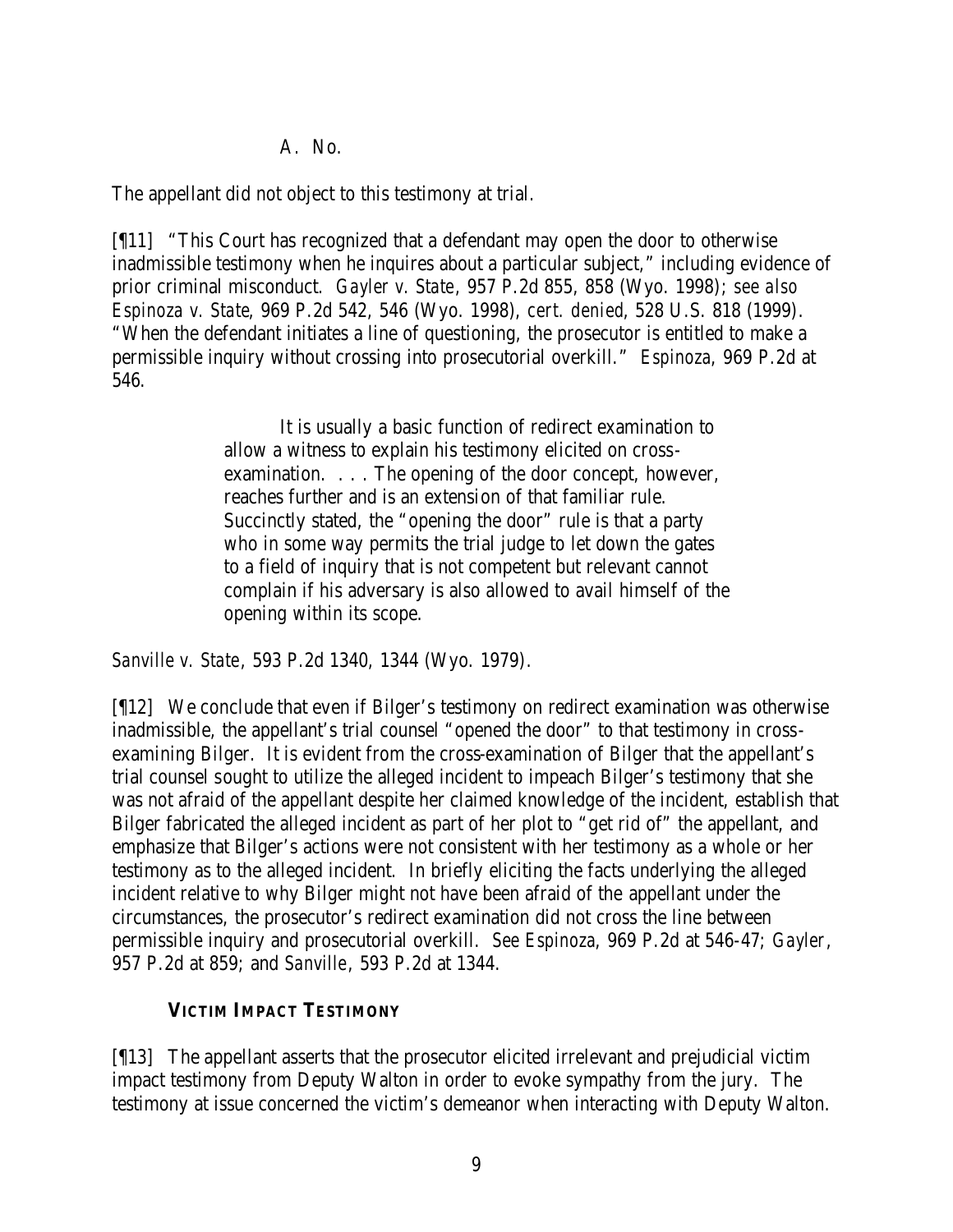### A. No.

The appellant did not object to this testimony at trial.

[¶11] "This Court has recognized that a defendant may open the door to otherwise inadmissible testimony when he inquires about a particular subject," including evidence of prior criminal misconduct. *Gayler v. State*, 957 P.2d 855, 858 (Wyo. 1998); *see also Espinoza v. State*, 969 P.2d 542, 546 (Wyo. 1998), *cert. denied*, 528 U.S. 818 (1999). "When the defendant initiates a line of questioning, the prosecutor is entitled to make a permissible inquiry without crossing into prosecutorial overkill." *Espinoza*, 969 P.2d at 546.

> It is usually a basic function of redirect examination to allow a witness to explain his testimony elicited on crossexamination. . . . The opening of the door concept, however, reaches further and is an extension of that familiar rule. Succinctly stated, the "opening the door" rule is that a party who in some way permits the trial judge to let down the gates to a field of inquiry that is not competent but relevant cannot complain if his adversary is also allowed to avail himself of the opening within its scope.

*Sanville v. State*, 593 P.2d 1340, 1344 (Wyo. 1979).

[¶12] We conclude that even if Bilger's testimony on redirect examination was otherwise inadmissible, the appellant's trial counsel "opened the door" to that testimony in crossexamining Bilger. It is evident from the cross-examination of Bilger that the appellant's trial counsel sought to utilize the alleged incident to impeach Bilger's testimony that she was not afraid of the appellant despite her claimed knowledge of the incident, establish that Bilger fabricated the alleged incident as part of her plot to "get rid of" the appellant, and emphasize that Bilger's actions were not consistent with her testimony as a whole or her testimony as to the alleged incident. In briefly eliciting the facts underlying the alleged incident relative to why Bilger might not have been afraid of the appellant under the circumstances, the prosecutor's redirect examination did not cross the line between permissible inquiry and prosecutorial overkill. *See Espinoza*, 969 P.2d at 546-47; *Gayler*, 957 P.2d at 859; and *Sanville*, 593 P.2d at 1344.

# **VICTIM IMPACT TESTIMONY**

[¶13] The appellant asserts that the prosecutor elicited irrelevant and prejudicial victim impact testimony from Deputy Walton in order to evoke sympathy from the jury. The testimony at issue concerned the victim's demeanor when interacting with Deputy Walton.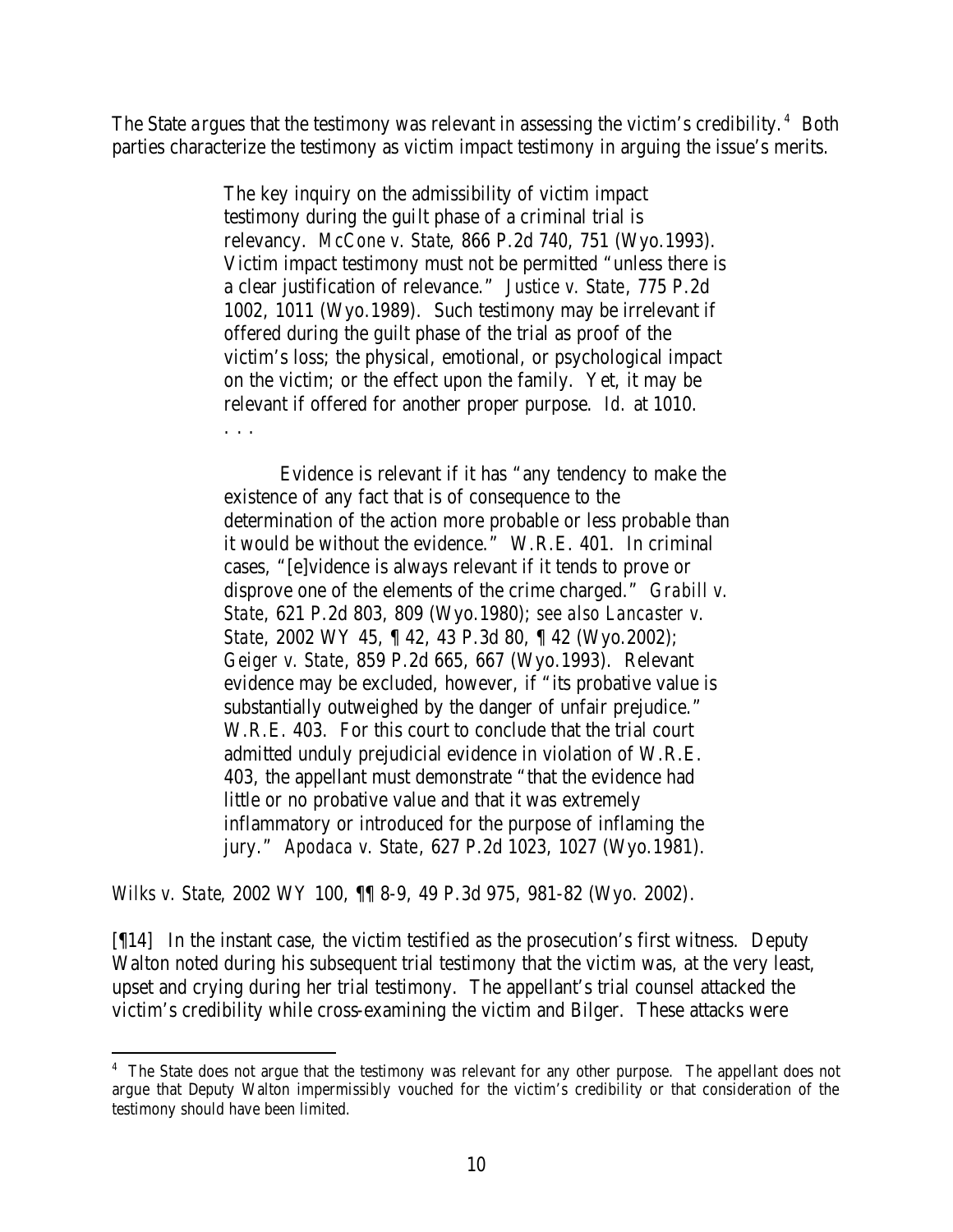The State argues that the testimony was relevant in assessing the victim's credibility.<sup>4</sup> Both parties characterize the testimony as victim impact testimony in arguing the issue's merits.

> The key inquiry on the admissibility of victim impact testimony during the guilt phase of a criminal trial is relevancy. *McCone v. State*, 866 P.2d 740, 751 (Wyo.1993). Victim impact testimony must not be permitted "unless there is a clear justification of relevance." *Justice v. State*, 775 P.2d 1002, 1011 (Wyo.1989). Such testimony may be irrelevant if offered during the guilt phase of the trial as proof of the victim's loss; the physical, emotional, or psychological impact on the victim; or the effect upon the family. Yet, it may be relevant if offered for another proper purpose. *Id.* at 1010. . . .

> Evidence is relevant if it has "any tendency to make the existence of any fact that is of consequence to the determination of the action more probable or less probable than it would be without the evidence." W.R.E. 401. In criminal cases, "[e]vidence is always relevant if it tends to prove or disprove one of the elements of the crime charged." *Grabill v. State*, 621 P.2d 803, 809 (Wyo.1980); *see also Lancaster v. State*, 2002 WY 45, ¶ 42, 43 P.3d 80, ¶ 42 (Wyo.2002); *Geiger v. State*, 859 P.2d 665, 667 (Wyo.1993). Relevant evidence may be excluded, however, if "its probative value is substantially outweighed by the danger of unfair prejudice." W.R.E. 403. For this court to conclude that the trial court admitted unduly prejudicial evidence in violation of W.R.E. 403, the appellant must demonstrate "that the evidence had little or no probative value and that it was extremely inflammatory or introduced for the purpose of inflaming the jury." *Apodaca v. State*, 627 P.2d 1023, 1027 (Wyo.1981).

*Wilks v. State*, 2002 WY 100, ¶¶ 8-9, 49 P.3d 975, 981-82 (Wyo. 2002).

[¶14] In the instant case, the victim testified as the prosecution's first witness. Deputy Walton noted during his subsequent trial testimony that the victim was, at the very least, upset and crying during her trial testimony. The appellant's trial counsel attacked the victim's credibility while cross-examining the victim and Bilger. These attacks were

<sup>&</sup>lt;sup>4</sup> The State does not argue that the testimony was relevant for any other purpose. The appellant does not argue that Deputy Walton impermissibly vouched for the victim's credibility or that consideration of the testimony should have been limited.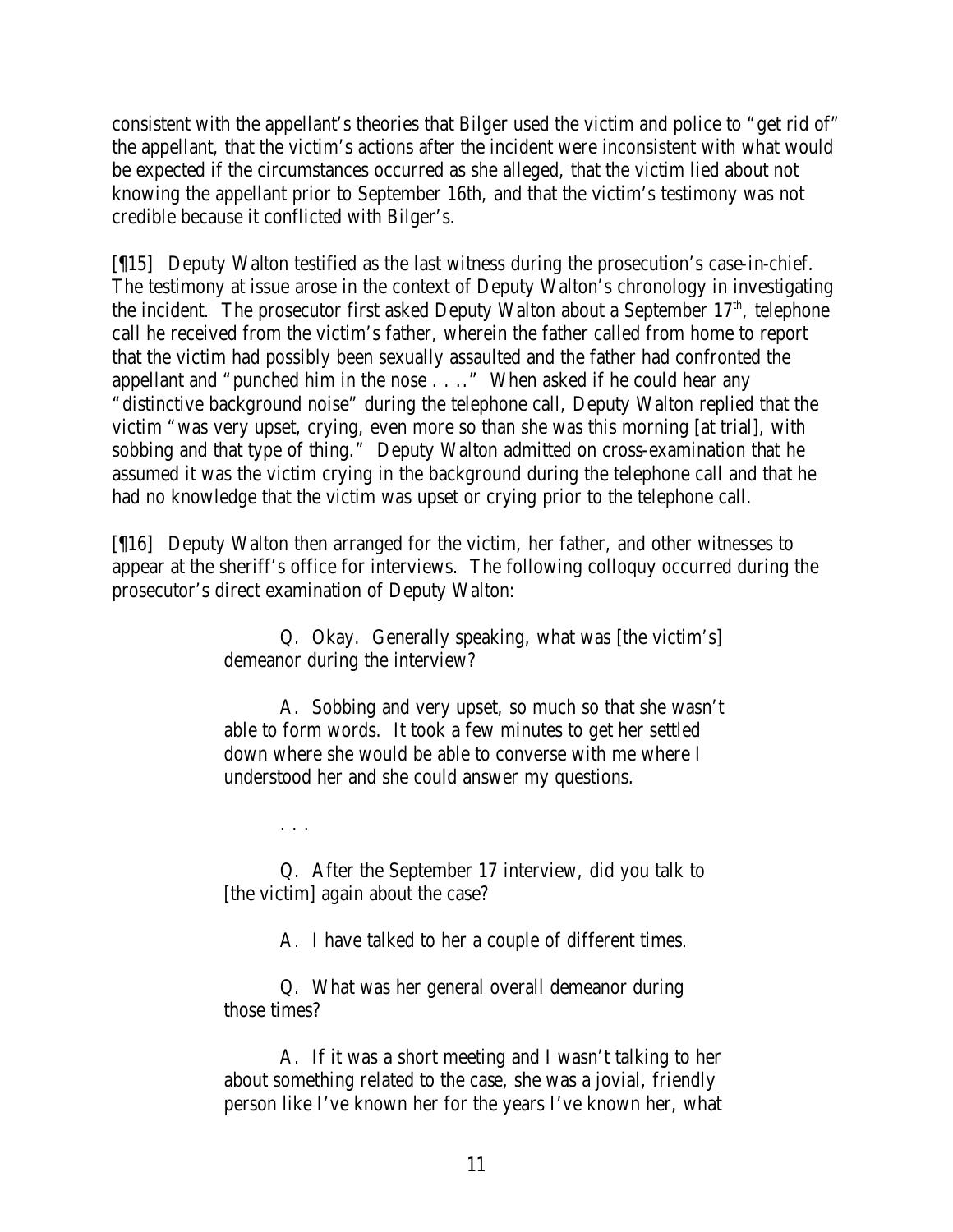consistent with the appellant's theories that Bilger used the victim and police to "get rid of" the appellant, that the victim's actions after the incident were inconsistent with what would be expected if the circumstances occurred as she alleged, that the victim lied about not knowing the appellant prior to September 16th, and that the victim's testimony was not credible because it conflicted with Bilger's.

[¶15] Deputy Walton testified as the last witness during the prosecution's case-in-chief. The testimony at issue arose in the context of Deputy Walton's chronology in investigating the incident. The prosecutor first asked Deputy Walton about a September  $17<sup>th</sup>$ , telephone call he received from the victim's father, wherein the father called from home to report that the victim had possibly been sexually assaulted and the father had confronted the appellant and "punched him in the nose . . .." When asked if he could hear any "distinctive background noise" during the telephone call, Deputy Walton replied that the victim "was very upset, crying, even more so than she was this morning [at trial], with sobbing and that type of thing." Deputy Walton admitted on cross-examination that he assumed it was the victim crying in the background during the telephone call and that he had no knowledge that the victim was upset or crying prior to the telephone call.

[¶16] Deputy Walton then arranged for the victim, her father, and other witnesses to appear at the sheriff's office for interviews. The following colloquy occurred during the prosecutor's direct examination of Deputy Walton:

> Q. Okay. Generally speaking, what was [the victim's] demeanor during the interview?

> A. Sobbing and very upset, so much so that she wasn't able to form words. It took a few minutes to get her settled down where she would be able to converse with me where I understood her and she could answer my questions.

> > . . .

Q. After the September 17 interview, did you talk to [the victim] again about the case?

A. I have talked to her a couple of different times.

Q. What was her general overall demeanor during those times?

A. If it was a short meeting and I wasn't talking to her about something related to the case, she was a jovial, friendly person like I've known her for the years I've known her, what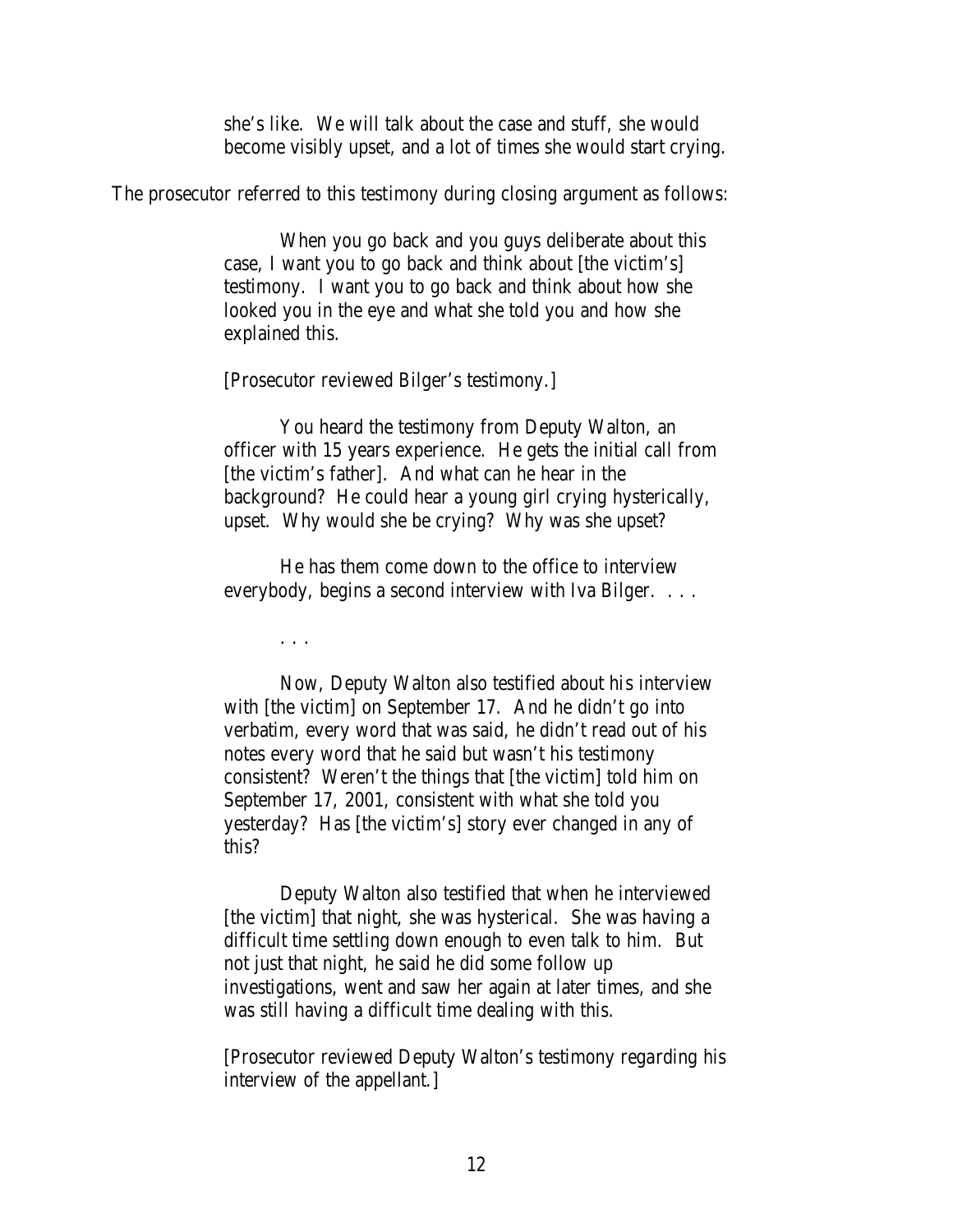she's like. We will talk about the case and stuff, she would become visibly upset, and a lot of times she would start crying.

The prosecutor referred to this testimony during closing argument as follows:

When you go back and you guys deliberate about this case, I want you to go back and think about [the victim's] testimony. I want you to go back and think about how she looked you in the eye and what she told you and how she explained this.

[Prosecutor reviewed Bilger's testimony.]

You heard the testimony from Deputy Walton, an officer with 15 years experience. He gets the initial call from [the victim's father]. And what can he hear in the background? He could hear a young girl crying hysterically, upset. Why would she be crying? Why was she upset?

He has them come down to the office to interview everybody, begins a second interview with Iva Bilger. . . .

. . .

Now, Deputy Walton also testified about his interview with [the victim] on September 17. And he didn't go into verbatim, every word that was said, he didn't read out of his notes every word that he said but wasn't his testimony consistent? Weren't the things that [the victim] told him on September 17, 2001, consistent with what she told you yesterday? Has [the victim's] story ever changed in any of this?

Deputy Walton also testified that when he interviewed [the victim] that night, she was hysterical. She was having a difficult time settling down enough to even talk to him. But not just that night, he said he did some follow up investigations, went and saw her again at later times, and she was still having a difficult time dealing with this.

[Prosecutor reviewed Deputy Walton's testimony regarding his interview of the appellant.]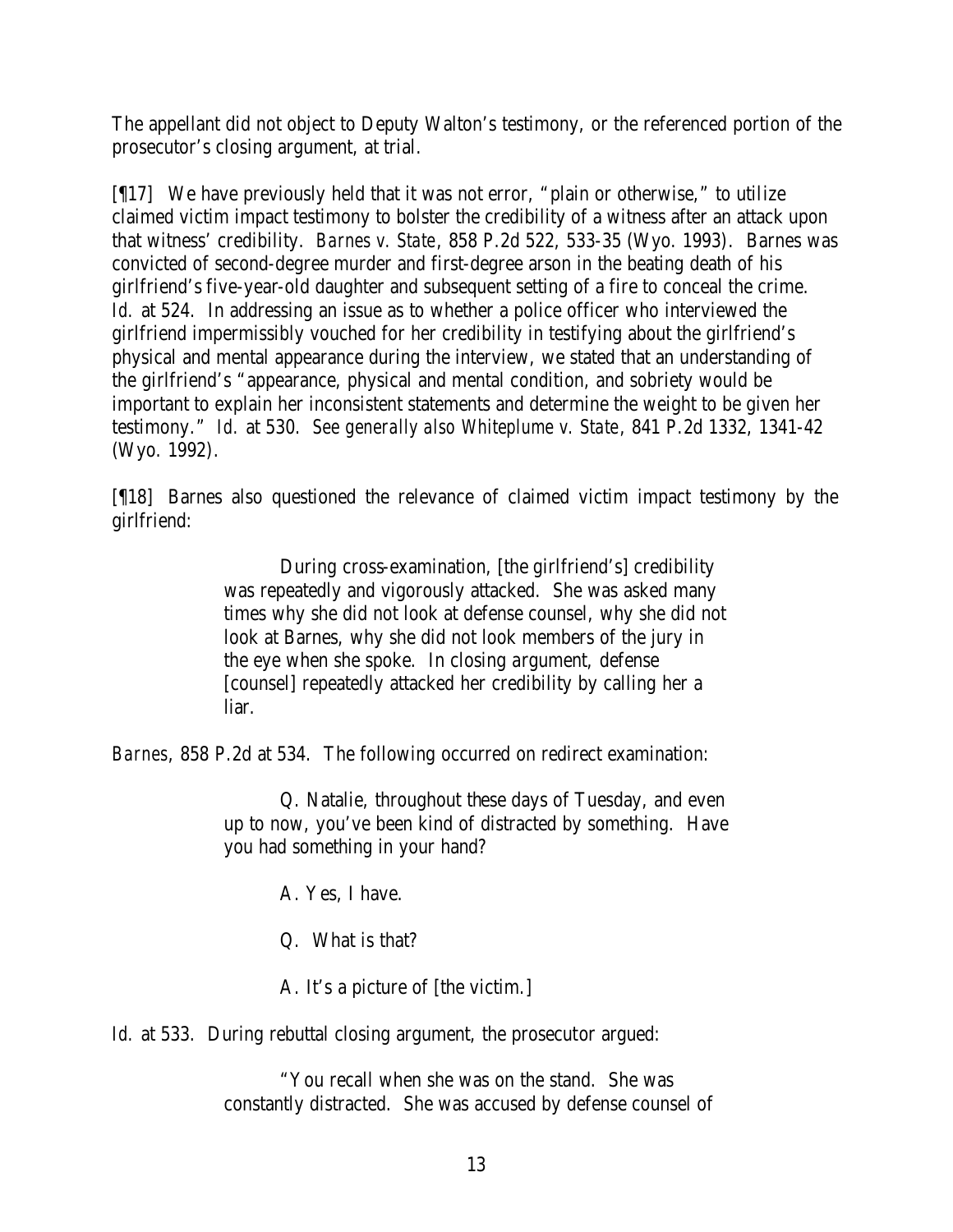The appellant did not object to Deputy Walton's testimony, or the referenced portion of the prosecutor's closing argument, at trial.

[¶17] We have previously held that it was not error, "plain or otherwise," to utilize claimed victim impact testimony to bolster the credibility of a witness after an attack upon that witness' credibility. *Barnes v. State*, 858 P.2d 522, 533-35 (Wyo. 1993). Barnes was convicted of second-degree murder and first-degree arson in the beating death of his girlfriend's five-year-old daughter and subsequent setting of a fire to conceal the crime. *Id.* at 524. In addressing an issue as to whether a police officer who interviewed the girlfriend impermissibly vouched for her credibility in testifying about the girlfriend's physical and mental appearance during the interview, we stated that an understanding of the girlfriend's "appearance, physical and mental condition, and sobriety would be important to explain her inconsistent statements and determine the weight to be given her testimony." *Id.* at 530. *See generally also Whiteplume v. State*, 841 P.2d 1332, 1341-42 (Wyo. 1992).

[¶18] Barnes also questioned the relevance of claimed victim impact testimony by the girlfriend:

> During cross-examination, [the girlfriend's] credibility was repeatedly and vigorously attacked. She was asked many times why she did not look at defense counsel, why she did not look at Barnes, why she did not look members of the jury in the eye when she spoke. In closing argument, defense [counsel] repeatedly attacked her credibility by calling her a liar.

*Barnes*, 858 P.2d at 534. The following occurred on redirect examination:

Q. Natalie, throughout these days of Tuesday, and even up to now, you've been kind of distracted by something. Have you had something in your hand?

A. Yes, I have.

Q. What is that?

A. It's a picture of [the victim.]

*Id.* at 533. During rebuttal closing argument, the prosecutor argued:

"You recall when she was on the stand. She was constantly distracted. She was accused by defense counsel of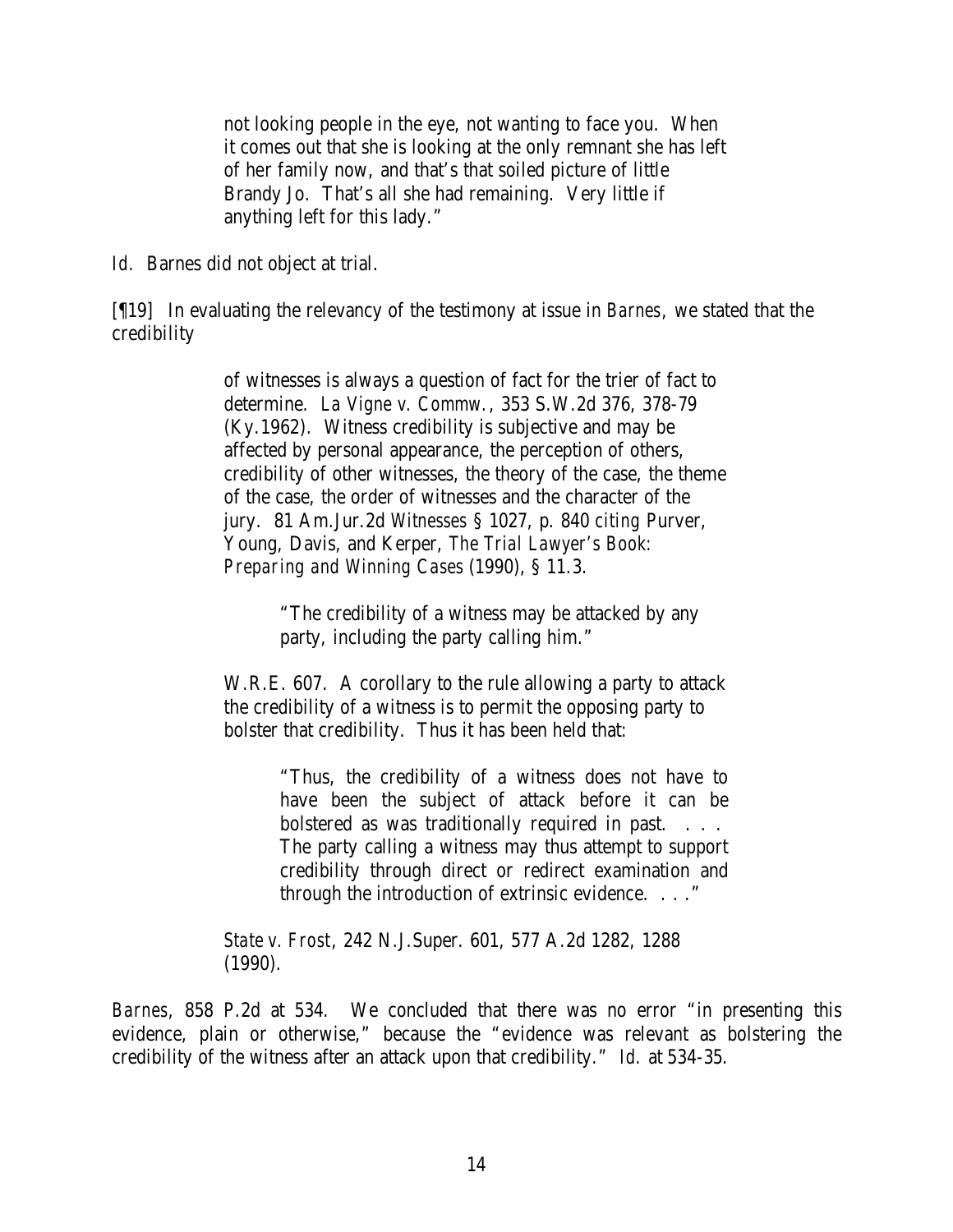not looking people in the eye, not wanting to face you. When it comes out that she is looking at the only remnant she has left of her family now, and that's that soiled picture of little Brandy Jo. That's all she had remaining. Very little if anything left for this lady."

*Id.* Barnes did not object at trial.

[¶19] In evaluating the relevancy of the testimony at issue in *Barnes*, we stated that the credibility

> of witnesses is always a question of fact for the trier of fact to determine. *La Vigne v. Commw.*, 353 S.W.2d 376, 378-79 (Ky.1962). Witness credibility is subjective and may be affected by personal appearance, the perception of others, credibility of other witnesses, the theory of the case, the theme of the case, the order of witnesses and the character of the jury. 81 Am.Jur.2d *Witnesses* § 1027, p. 840 *citing* Purver, Young, Davis, and Kerper, *The Trial Lawyer's Book: Preparing and Winning Cases* (1990), § 11.3.

> > "The credibility of a witness may be attacked by any party, including the party calling him."

W.R.E. 607. A corollary to the rule allowing a party to attack the credibility of a witness is to permit the opposing party to bolster that credibility. Thus it has been held that:

> "Thus, the credibility of a witness does not have to have been the subject of attack before it can be bolstered as was traditionally required in past. . . . The party calling a witness may thus attempt to support credibility through direct or redirect examination and through the introduction of extrinsic evidence. . . ."

*State v. Frost*, 242 N.J.Super. 601, 577 A.2d 1282, 1288 (1990).

*Barnes*, 858 P.2d at 534. We concluded that there was no error "in presenting this evidence, plain or otherwise," because the "evidence was relevant as bolstering the credibility of the witness after an attack upon that credibility." *Id.* at 534-35.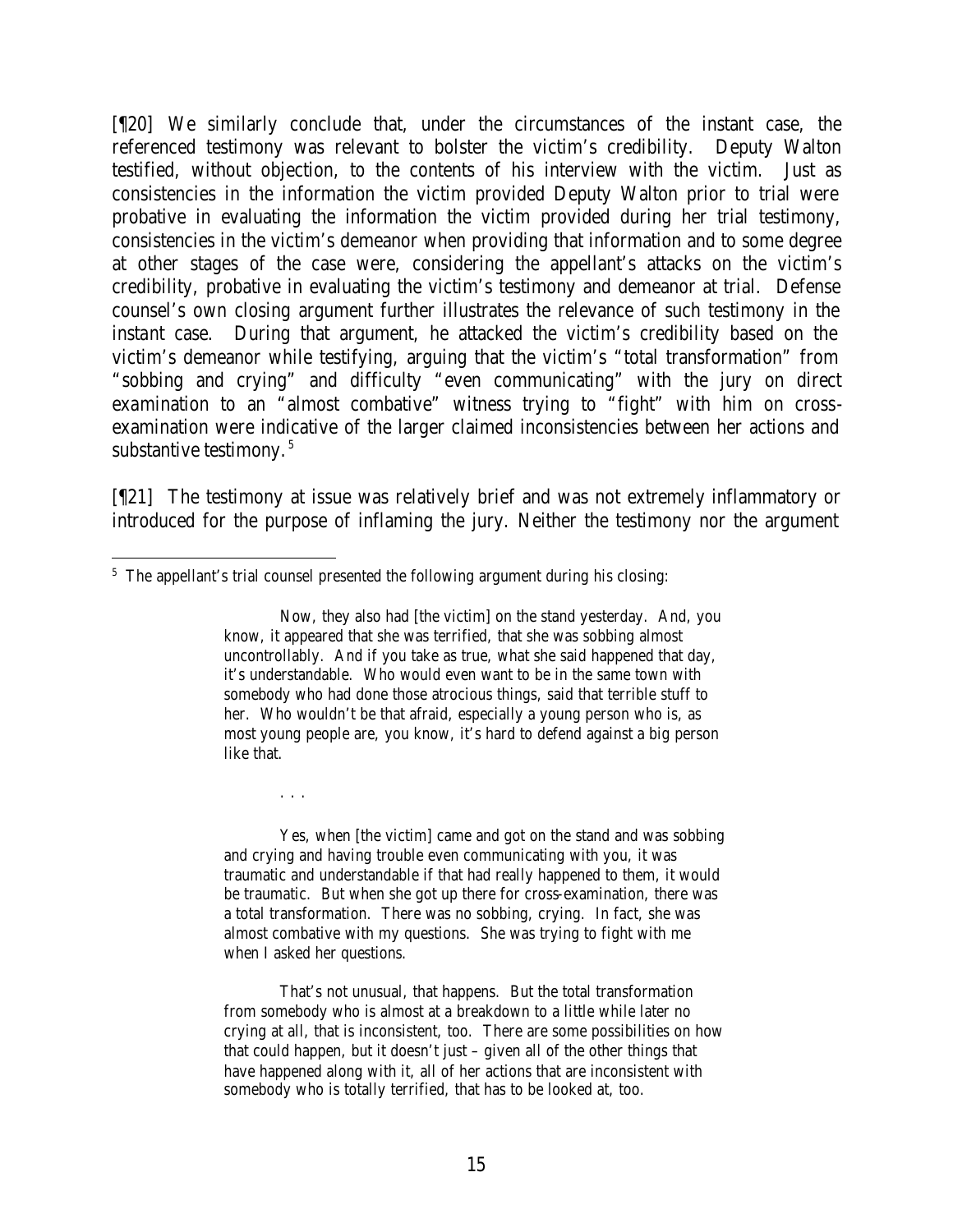[¶20] We similarly conclude that, under the circumstances of the instant case, the referenced testimony was relevant to bolster the victim's credibility. Deputy Walton testified, without objection, to the contents of his interview with the victim. Just as consistencies in the information the victim provided Deputy Walton prior to trial were probative in evaluating the information the victim provided during her trial testimony, consistencies in the victim's demeanor when providing that information and to some degree at other stages of the case were, considering the appellant's attacks on the victim's credibility, probative in evaluating the victim's testimony and demeanor at trial. Defense counsel's own closing argument further illustrates the relevance of such testimony in the instant case. During that argument, he attacked the victim's credibility based on the victim's demeanor while testifying, arguing that the victim's "total transformation" from "sobbing and crying" and difficulty "even communicating" with the jury on direct examination to an "almost combative" witness trying to "fight" with him on crossexamination were indicative of the larger claimed inconsistencies between her actions and substantive testimony.<sup>5</sup>

[¶21] The testimony at issue was relatively brief and was not extremely inflammatory or introduced for the purpose of inflaming the jury. Neither the testimony nor the argument

. . .

Yes, when [the victim] came and got on the stand and was sobbing and crying and having trouble even communicating with you, it was traumatic and understandable if that had really happened to them, it would be traumatic. But when she got up there for cross-examination, there was a total transformation. There was no sobbing, crying. In fact, she was almost combative with my questions. She was trying to fight with me when I asked her questions.

That's not unusual, that happens. But the total transformation from somebody who is almost at a breakdown to a little while later no crying at all, that is inconsistent, too. There are some possibilities on how that could happen, but it doesn't just – given all of the other things that have happened along with it, all of her actions that are inconsistent with somebody who is totally terrified, that has to be looked at, too.

 <sup>5</sup> The appellant's trial counsel presented the following argument during his closing:

Now, they also had [the victim] on the stand yesterday. And, you know, it appeared that she was terrified, that she was sobbing almost uncontrollably. And if you take as true, what she said happened that day, it's understandable. Who would even want to be in the same town with somebody who had done those atrocious things, said that terrible stuff to her. Who wouldn't be that afraid, especially a young person who is, as most young people are, you know, it's hard to defend against a big person like that.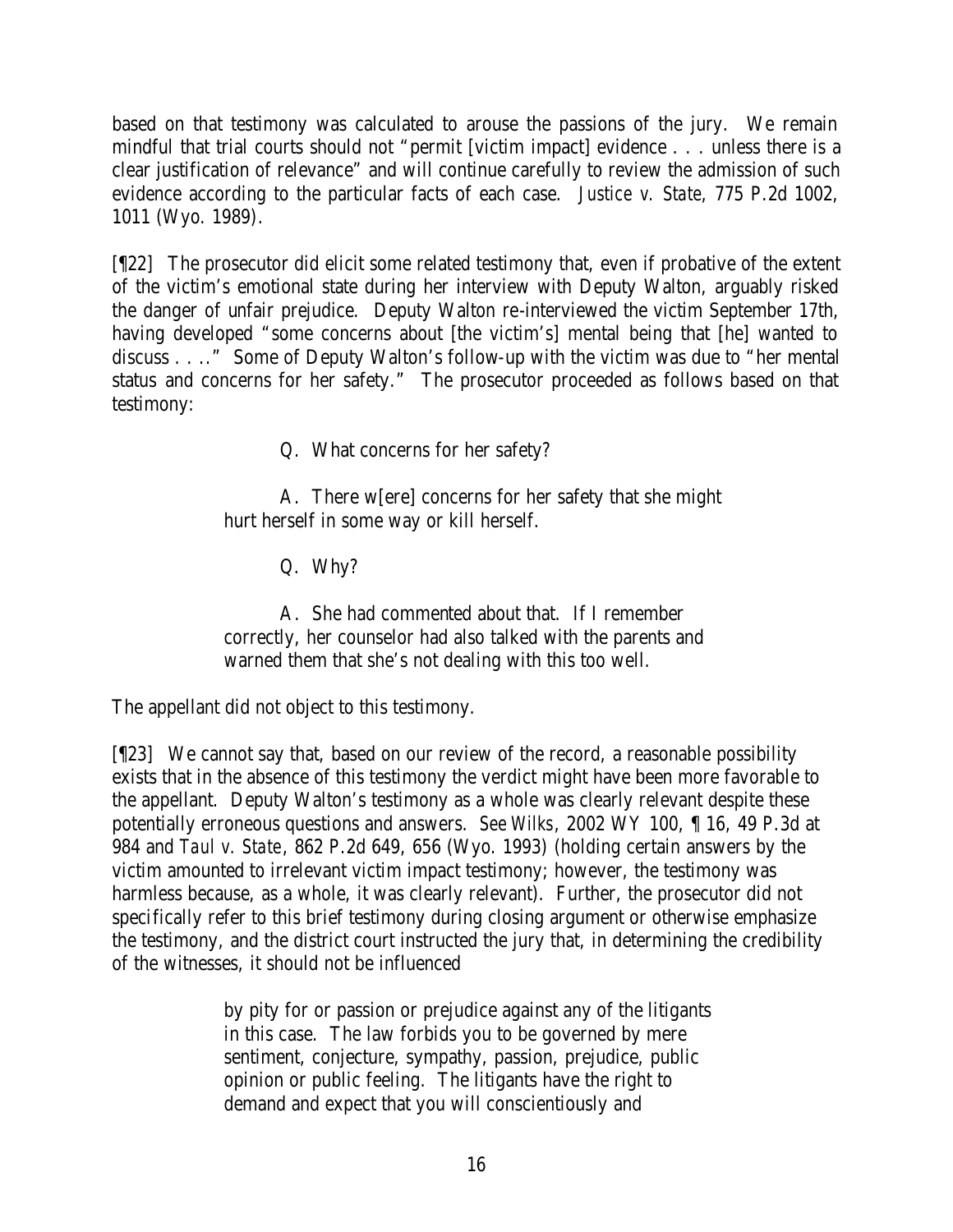based on that testimony was calculated to arouse the passions of the jury. We remain mindful that trial courts should not "permit [victim impact] evidence . . . unless there is a clear justification of relevance" and will continue carefully to review the admission of such evidence according to the particular facts of each case. *Justice v. State*, 775 P.2d 1002, 1011 (Wyo. 1989).

[¶22] The prosecutor did elicit some related testimony that, even if probative of the extent of the victim's emotional state during her interview with Deputy Walton, arguably risked the danger of unfair prejudice. Deputy Walton re-interviewed the victim September 17th, having developed "some concerns about [the victim's] mental being that [he] wanted to discuss . . .." Some of Deputy Walton's follow-up with the victim was due to "her mental status and concerns for her safety." The prosecutor proceeded as follows based on that testimony:

Q. What concerns for her safety?

A. There w[ere] concerns for her safety that she might hurt herself in some way or kill herself.

Q. Why?

A. She had commented about that. If I remember correctly, her counselor had also talked with the parents and warned them that she's not dealing with this too well.

The appellant did not object to this testimony.

[¶23] We cannot say that, based on our review of the record, a reasonable possibility exists that in the absence of this testimony the verdict might have been more favorable to the appellant. Deputy Walton's testimony as a whole was clearly relevant despite these potentially erroneous questions and answers. *See Wilks*, 2002 WY 100, ¶ 16, 49 P.3d at 984 and *Taul v. State*, 862 P.2d 649, 656 (Wyo. 1993) (holding certain answers by the victim amounted to irrelevant victim impact testimony; however, the testimony was harmless because, as a whole, it was clearly relevant). Further, the prosecutor did not specifically refer to this brief testimony during closing argument or otherwise emphasize the testimony, and the district court instructed the jury that, in determining the credibility of the witnesses, it should not be influenced

> by pity for or passion or prejudice against any of the litigants in this case. The law forbids you to be governed by mere sentiment, conjecture, sympathy, passion, prejudice, public opinion or public feeling. The litigants have the right to demand and expect that you will conscientiously and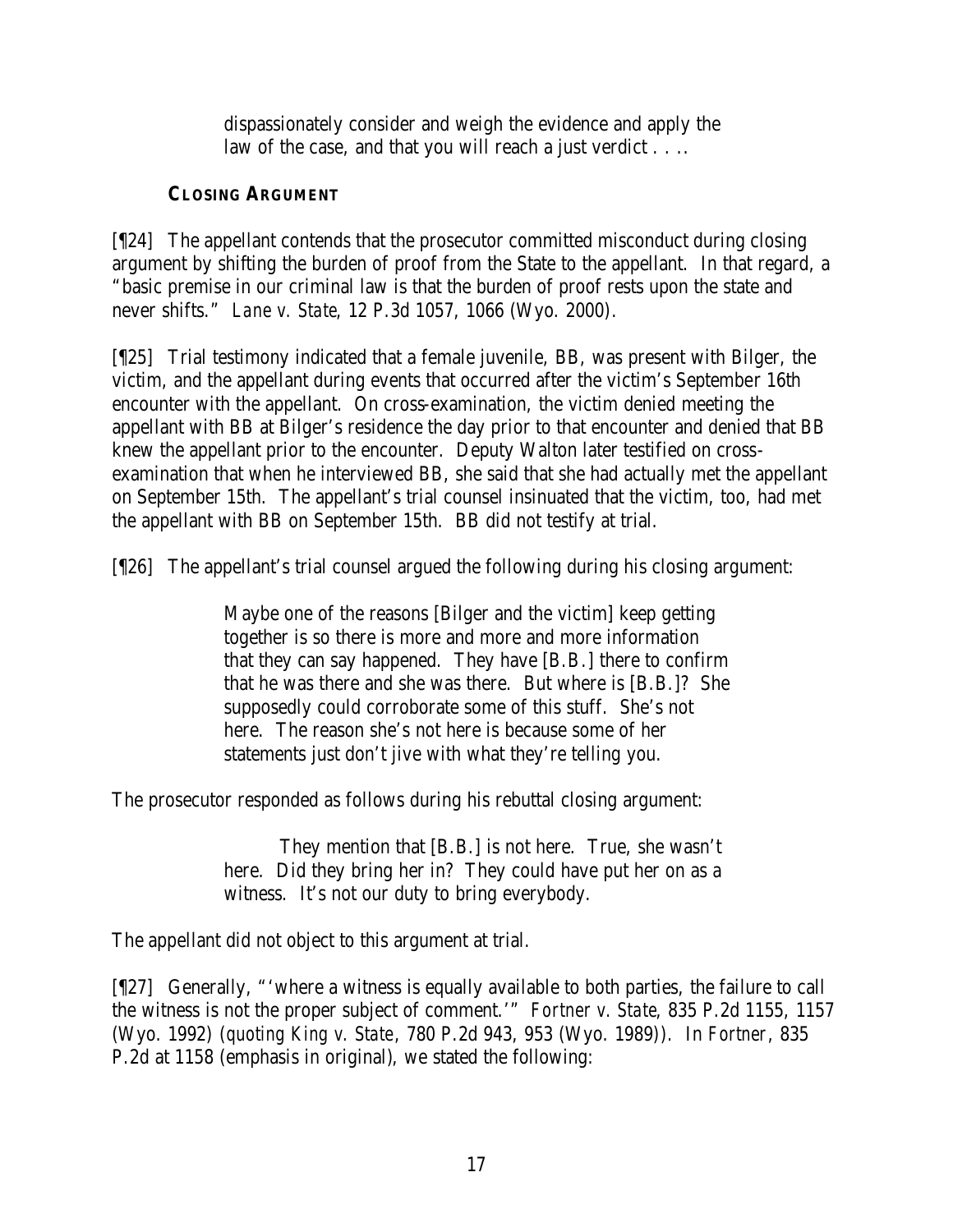dispassionately consider and weigh the evidence and apply the law of the case, and that you will reach a just verdict . . . .

# **CLOSING ARGUMENT**

[¶24] The appellant contends that the prosecutor committed misconduct during closing argument by shifting the burden of proof from the State to the appellant. In that regard, a "basic premise in our criminal law is that the burden of proof rests upon the state and never shifts." *Lane v. State*, 12 P.3d 1057, 1066 (Wyo. 2000).

[¶25] Trial testimony indicated that a female juvenile, BB, was present with Bilger, the victim, and the appellant during events that occurred after the victim's September 16th encounter with the appellant. On cross-examination, the victim denied meeting the appellant with BB at Bilger's residence the day prior to that encounter and denied that BB knew the appellant prior to the encounter. Deputy Walton later testified on crossexamination that when he interviewed BB, she said that she had actually met the appellant on September 15th. The appellant's trial counsel insinuated that the victim, too, had met the appellant with BB on September 15th. BB did not testify at trial.

[¶26] The appellant's trial counsel argued the following during his closing argument:

Maybe one of the reasons [Bilger and the victim] keep getting together is so there is more and more and more information that they can say happened. They have [B.B.] there to confirm that he was there and she was there. But where is [B.B.]? She supposedly could corroborate some of this stuff. She's not here. The reason she's not here is because some of her statements just don't jive with what they're telling you.

The prosecutor responded as follows during his rebuttal closing argument:

They mention that [B.B.] is not here. True, she wasn't here. Did they bring her in? They could have put her on as a witness. It's not our duty to bring everybody.

The appellant did not object to this argument at trial.

[¶27] Generally, "'where a witness is equally available to both parties, the failure to call the witness is not the proper subject of comment.'" *Fortner v. State*, 835 P.2d 1155, 1157 (Wyo. 1992) (*quoting King v. State*, 780 P.2d 943, 953 (Wyo. 1989)). In *Fortner*, 835 P.2d at 1158 (emphasis in original), we stated the following: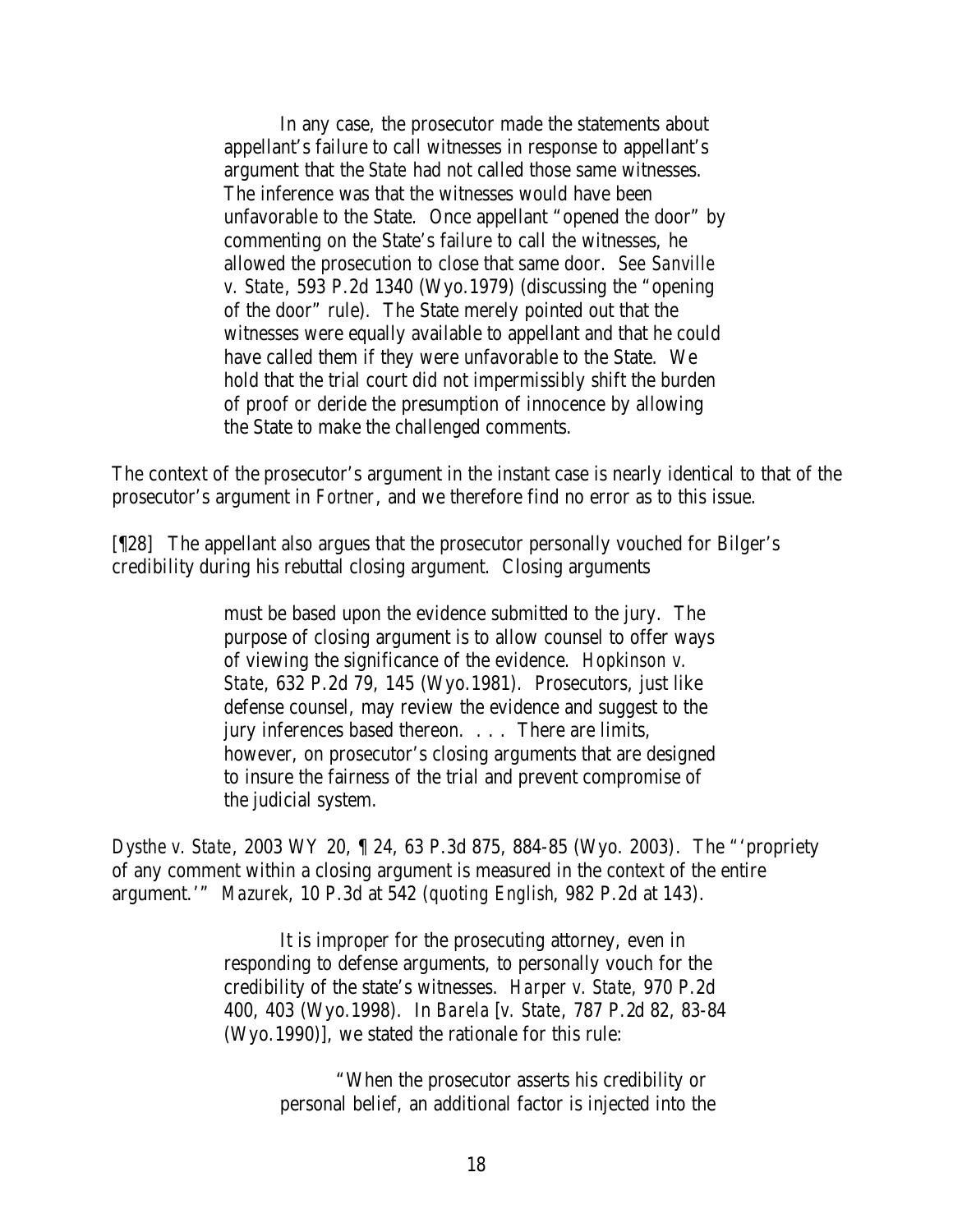In any case, the prosecutor made the statements about appellant's failure to call witnesses in response to appellant's argument that the *State* had not called those same witnesses. The inference was that the witnesses would have been unfavorable to the State. Once appellant "opened the door" by commenting on the State's failure to call the witnesses, he allowed the prosecution to close that same door. *See Sanville v. State*, 593 P.2d 1340 (Wyo.1979) (discussing the "opening of the door" rule). The State merely pointed out that the witnesses were equally available to appellant and that he could have called them if they were unfavorable to the State. We hold that the trial court did not impermissibly shift the burden of proof or deride the presumption of innocence by allowing the State to make the challenged comments.

The context of the prosecutor's argument in the instant case is nearly identical to that of the prosecutor's argument in *Fortner*, and we therefore find no error as to this issue.

[¶28] The appellant also argues that the prosecutor personally vouched for Bilger's credibility during his rebuttal closing argument. Closing arguments

> must be based upon the evidence submitted to the jury. The purpose of closing argument is to allow counsel to offer ways of viewing the significance of the evidence. *Hopkinson v. State*, 632 P.2d 79, 145 (Wyo.1981). Prosecutors, just like defense counsel, may review the evidence and suggest to the jury inferences based thereon. . . . There are limits, however, on prosecutor's closing arguments that are designed to insure the fairness of the trial and prevent compromise of the judicial system.

*Dysthe v. State*, 2003 WY 20, ¶ 24, 63 P.3d 875, 884-85 (Wyo. 2003). The "'propriety of any comment within a closing argument is measured in the context of the entire argument.'" *Mazurek*, 10 P.3d at 542 (*quoting English*, 982 P.2d at 143).

> It is improper for the prosecuting attorney, even in responding to defense arguments, to personally vouch for the credibility of the state's witnesses. *Harper v. State*, 970 P.2d 400, 403 (Wyo.1998). In *Barela* [*v. State*, 787 P.2d 82, 83-84 (Wyo.1990)], we stated the rationale for this rule:

> > "When the prosecutor asserts his credibility or personal belief, an additional factor is injected into the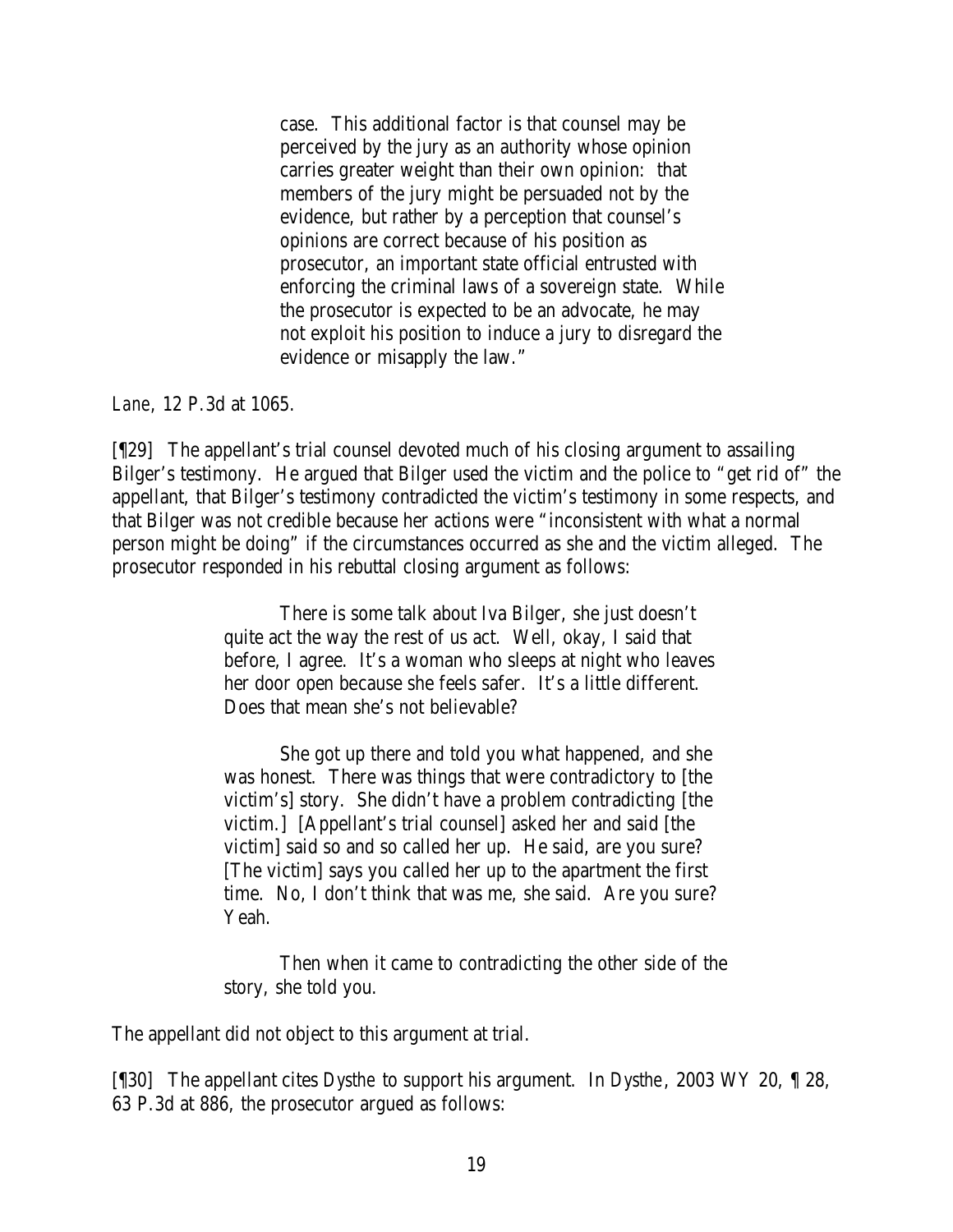case. This additional factor is that counsel may be perceived by the jury as an authority whose opinion carries greater weight than their own opinion: that members of the jury might be persuaded not by the evidence, but rather by a perception that counsel's opinions are correct because of his position as prosecutor, an important state official entrusted with enforcing the criminal laws of a sovereign state. While the prosecutor is expected to be an advocate, he may not exploit his position to induce a jury to disregard the evidence or misapply the law."

*Lane*, 12 P.3d at 1065.

[¶29] The appellant's trial counsel devoted much of his closing argument to assailing Bilger's testimony. He argued that Bilger used the victim and the police to "get rid of" the appellant, that Bilger's testimony contradicted the victim's testimony in some respects, and that Bilger was not credible because her actions were "inconsistent with what a normal person might be doing" if the circumstances occurred as she and the victim alleged. The prosecutor responded in his rebuttal closing argument as follows:

> There is some talk about Iva Bilger, she just doesn't quite act the way the rest of us act. Well, okay, I said that before, I agree. It's a woman who sleeps at night who leaves her door open because she feels safer. It's a little different. Does that mean she's not believable?

> She got up there and told you what happened, and she was honest. There was things that were contradictory to [the victim's] story. She didn't have a problem contradicting [the victim.] [Appellant's trial counsel] asked her and said [the victim] said so and so called her up. He said, are you sure? [The victim] says you called her up to the apartment the first time. No, I don't think that was me, she said. Are you sure? Yeah.

Then when it came to contradicting the other side of the story, she told you.

The appellant did not object to this argument at trial.

[¶30] The appellant cites *Dysthe* to support his argument. In *Dysthe*, 2003 WY 20, ¶ 28, 63 P.3d at 886, the prosecutor argued as follows: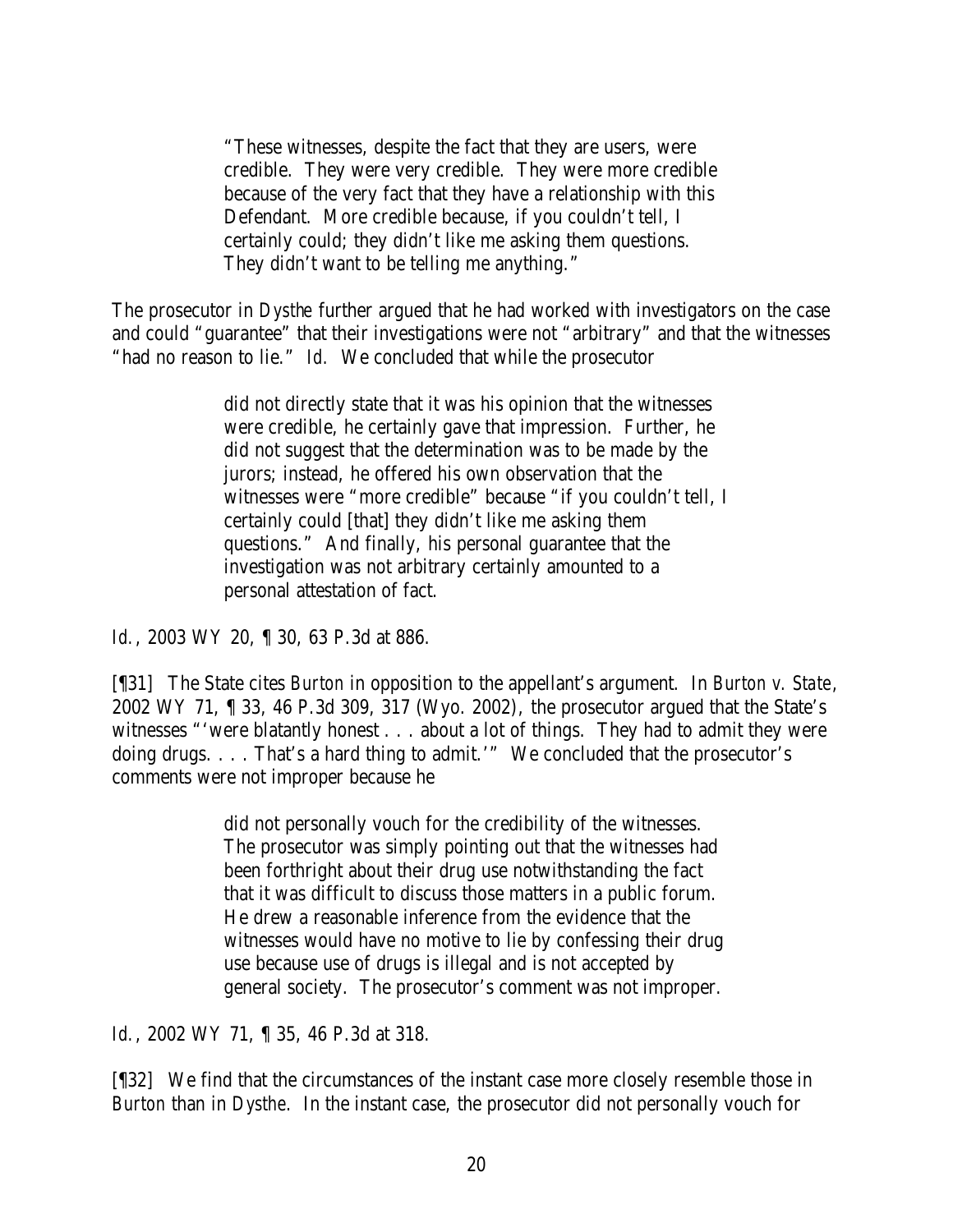"These witnesses, despite the fact that they are users, were credible. They were very credible. They were more credible because of the very fact that they have a relationship with this Defendant. More credible because, if you couldn't tell, I certainly could; they didn't like me asking them questions. They didn't want to be telling me anything."

The prosecutor in *Dysthe* further argued that he had worked with investigators on the case and could "guarantee" that their investigations were not "arbitrary" and that the witnesses "had no reason to lie." *Id.* We concluded that while the prosecutor

> did not directly state that it was his opinion that the witnesses were credible, he certainly gave that impression. Further, he did not suggest that the determination was to be made by the jurors; instead, he offered his own observation that the witnesses were "more credible" because "if you couldn't tell, I certainly could [that] they didn't like me asking them questions." And finally, his personal guarantee that the investigation was not arbitrary certainly amounted to a personal attestation of fact.

*Id.*, 2003 WY 20, 1 30, 63 P.3d at 886.

[¶31] The State cites *Burton* in opposition to the appellant's argument. In *Burton v. State*, 2002 WY 71, ¶ 33, 46 P.3d 309, 317 (Wyo. 2002), the prosecutor argued that the State's witnesses "'were blatantly honest . . . about a lot of things. They had to admit they were doing drugs. . . . That's a hard thing to admit.'" We concluded that the prosecutor's comments were not improper because he

> did not personally vouch for the credibility of the witnesses. The prosecutor was simply pointing out that the witnesses had been forthright about their drug use notwithstanding the fact that it was difficult to discuss those matters in a public forum. He drew a reasonable inference from the evidence that the witnesses would have no motive to lie by confessing their drug use because use of drugs is illegal and is not accepted by general society. The prosecutor's comment was not improper.

*Id.*, 2002 WY 71, ¶ 35, 46 P.3d at 318.

[¶32] We find that the circumstances of the instant case more closely resemble those in *Burton* than in *Dysthe*. In the instant case, the prosecutor did not personally vouch for